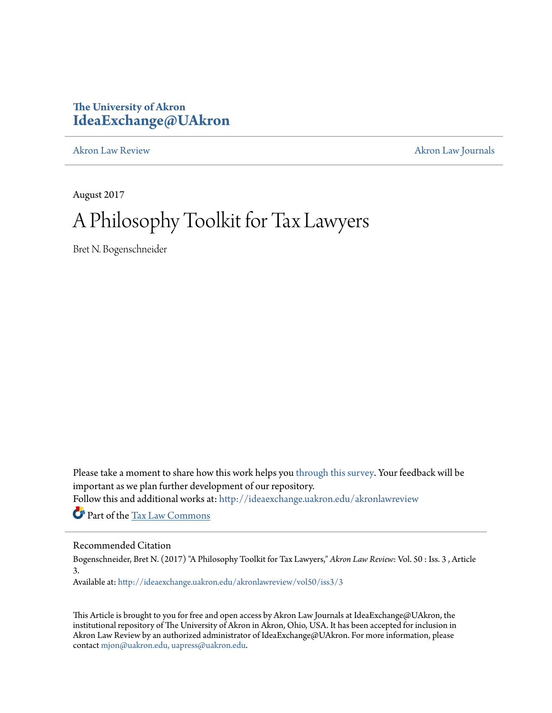# **The University of Akron [IdeaExchange@UAkron](http://ideaexchange.uakron.edu?utm_source=ideaexchange.uakron.edu%2Fakronlawreview%2Fvol50%2Fiss3%2F3&utm_medium=PDF&utm_campaign=PDFCoverPages)**

[Akron Law Review](http://ideaexchange.uakron.edu/akronlawreview?utm_source=ideaexchange.uakron.edu%2Fakronlawreview%2Fvol50%2Fiss3%2F3&utm_medium=PDF&utm_campaign=PDFCoverPages) [Akron Law Journals](http://ideaexchange.uakron.edu/akronlawjournals?utm_source=ideaexchange.uakron.edu%2Fakronlawreview%2Fvol50%2Fiss3%2F3&utm_medium=PDF&utm_campaign=PDFCoverPages)

August 2017

# A Philosophy Toolkit for Tax Lawyers

Bret N. Bogenschneider

Please take a moment to share how this work helps you [through this survey.](http://survey.az1.qualtrics.com/SE/?SID=SV_eEVH54oiCbOw05f&URL=http://ideaexchange.uakron.edu/akronlawreview/vol50/iss3/3) Your feedback will be important as we plan further development of our repository.

Follow this and additional works at: [http://ideaexchange.uakron.edu/akronlawreview](http://ideaexchange.uakron.edu/akronlawreview?utm_source=ideaexchange.uakron.edu%2Fakronlawreview%2Fvol50%2Fiss3%2F3&utm_medium=PDF&utm_campaign=PDFCoverPages)

Part of the [Tax Law Commons](http://network.bepress.com/hgg/discipline/898?utm_source=ideaexchange.uakron.edu%2Fakronlawreview%2Fvol50%2Fiss3%2F3&utm_medium=PDF&utm_campaign=PDFCoverPages)

# Recommended Citation

Bogenschneider, Bret N. (2017) "A Philosophy Toolkit for Tax Lawyers," *Akron Law Review*: Vol. 50 : Iss. 3 , Article 3.

Available at: [http://ideaexchange.uakron.edu/akronlawreview/vol50/iss3/3](http://ideaexchange.uakron.edu/akronlawreview/vol50/iss3/3?utm_source=ideaexchange.uakron.edu%2Fakronlawreview%2Fvol50%2Fiss3%2F3&utm_medium=PDF&utm_campaign=PDFCoverPages)

This Article is brought to you for free and open access by Akron Law Journals at IdeaExchange@UAkron, the institutional repository of The University of Akron in Akron, Ohio, USA. It has been accepted for inclusion in Akron Law Review by an authorized administrator of IdeaExchange@UAkron. For more information, please contact [mjon@uakron.edu, uapress@uakron.edu.](mailto:mjon@uakron.edu,%20uapress@uakron.edu)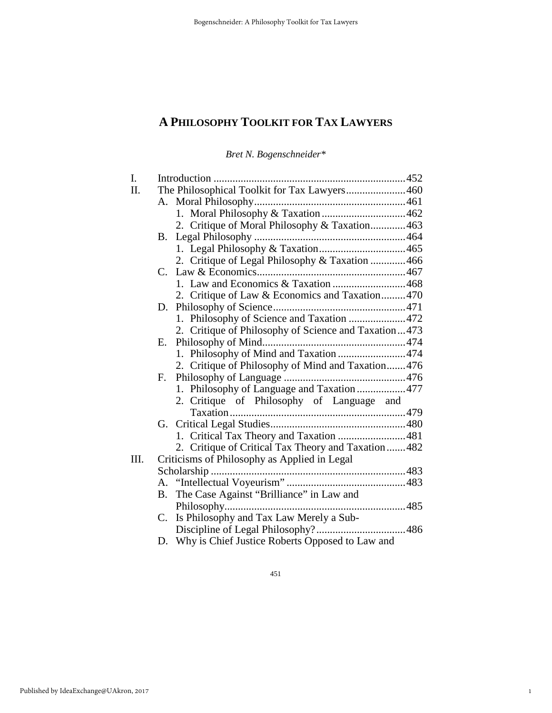*Bret N. Bogenschneider\** 

| I.   |                                              |                                                      |  |  |
|------|----------------------------------------------|------------------------------------------------------|--|--|
| Π.   | The Philosophical Toolkit for Tax Lawyers460 |                                                      |  |  |
|      |                                              |                                                      |  |  |
|      |                                              |                                                      |  |  |
|      |                                              | 2. Critique of Moral Philosophy & Taxation463        |  |  |
|      | <b>B.</b>                                    |                                                      |  |  |
|      |                                              |                                                      |  |  |
|      |                                              | 2. Critique of Legal Philosophy & Taxation 466       |  |  |
|      |                                              |                                                      |  |  |
|      |                                              | 1. Law and Economics & Taxation 468                  |  |  |
|      |                                              | 2. Critique of Law & Economics and Taxation470       |  |  |
|      | D.                                           |                                                      |  |  |
|      |                                              | 1. Philosophy of Science and Taxation 472            |  |  |
|      |                                              | 2. Critique of Philosophy of Science and Taxation473 |  |  |
|      | Е.                                           |                                                      |  |  |
|      |                                              | 1. Philosophy of Mind and Taxation 474               |  |  |
|      |                                              | 2. Critique of Philosophy of Mind and Taxation476    |  |  |
|      | $F_{\cdot}$                                  |                                                      |  |  |
|      |                                              | 1. Philosophy of Language and Taxation 477           |  |  |
|      |                                              | 2. Critique of Philosophy of Language and            |  |  |
|      |                                              |                                                      |  |  |
|      |                                              |                                                      |  |  |
|      |                                              | 1. Critical Tax Theory and Taxation 481              |  |  |
|      |                                              | 2. Critique of Critical Tax Theory and Taxation482   |  |  |
| III. | Criticisms of Philosophy as Applied in Legal |                                                      |  |  |
|      |                                              |                                                      |  |  |
|      |                                              |                                                      |  |  |
|      | В.                                           | The Case Against "Brilliance" in Law and             |  |  |
|      |                                              |                                                      |  |  |
|      | $C_{\cdot}$                                  | Is Philosophy and Tax Law Merely a Sub-              |  |  |
|      |                                              |                                                      |  |  |
|      |                                              | D. Why is Chief Justice Roberts Opposed to Law and   |  |  |

451

1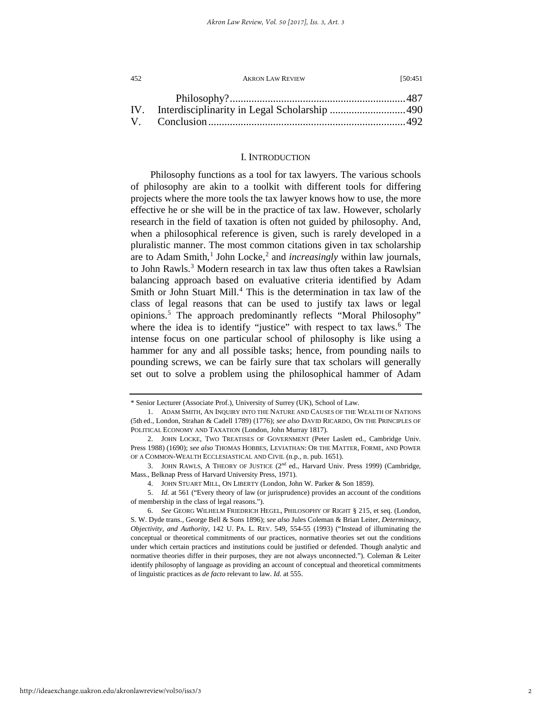| 452 | <b>AKRON LAW REVIEW</b> | 150:451 |
|-----|-------------------------|---------|
|     |                         |         |
|     |                         |         |
|     |                         |         |

## I. INTRODUCTION

Philosophy functions as a tool for tax lawyers. The various schools of philosophy are akin to a toolkit with different tools for differing projects where the more tools the tax lawyer knows how to use, the more effective he or she will be in the practice of tax law. However, scholarly research in the field of taxation is often not guided by philosophy. And, when a philosophical reference is given, such is rarely developed in a pluralistic manner. The most common citations given in tax scholarship are to Adam Smith,<sup>[1](#page-2-0)</sup> John Locke,<sup>[2](#page-2-1)</sup> and *increasingly* within law journals, to John Rawls.<sup>[3](#page-2-2)</sup> Modern research in tax law thus often takes a Rawlsian balancing approach based on evaluative criteria identified by Adam Smith or John Stuart Mill.<sup>[4](#page-2-3)</sup> This is the determination in tax law of the class of legal reasons that can be used to justify tax laws or legal opinions.[5](#page-2-4) The approach predominantly reflects "Moral Philosophy" where the idea is to identify "justice" with respect to tax laws.<sup>6</sup> The intense focus on one particular school of philosophy is like using a hammer for any and all possible tasks; hence, from pounding nails to pounding screws, we can be fairly sure that tax scholars will generally set out to solve a problem using the philosophical hammer of Adam

<sup>\*</sup> Senior Lecturer (Associate Prof.), University of Surrey (UK), School of Law.

<span id="page-2-0"></span><sup>1.</sup> ADAM SMITH, AN INQUIRY INTO THE NATURE AND CAUSES OF THE WEALTH OF NATIONS (5th ed., London, Strahan & Cadell 1789) (1776); *see also* DAVID RICARDO, ON THE PRINCIPLES OF POLITICAL ECONOMY AND TAXATION (London, John Murray 1817)*.*

<span id="page-2-1"></span><sup>2.</sup> JOHN LOCKE, TWO TREATISES OF GOVERNMENT (Peter Laslett ed., Cambridge Univ. Press 1988) (1690); *see also* THOMAS HOBBES, LEVIATHAN: OR THE MATTER, FORME, AND POWER OF A COMMON-WEALTH ECCLESIASTICAL AND CIVIL (n.p., n. pub. 1651).

<span id="page-2-2"></span><sup>3.</sup> JOHN RAWLS, A THEORY OF JUSTICE (2nd ed., Harvard Univ. Press 1999) (Cambridge, Mass., Belknap Press of Harvard University Press, 1971).

<sup>4.</sup> JOHN STUART MILL, ON LIBERTY (London, John W. Parker & Son 1859).

<span id="page-2-4"></span><span id="page-2-3"></span><sup>5.</sup> *Id.* at 561 ("Every theory of law (or jurisprudence) provides an account of the conditions of membership in the class of legal reasons.").

<span id="page-2-5"></span><sup>6.</sup> *See* GEORG WILHELM FRIEDRICH HEGEL, PHILOSOPHY OF RIGHT § 215, et seq. (London, S. W. Dyde trans., George Bell & Sons 1896); *see also* Jules Coleman & Brian Leiter, *Determinacy, Objectivity, and Authority*, 142 U. PA. L. REV. 549, 554-55 (1993) ("Instead of illuminating the conceptual or theoretical commitments of our practices, normative theories set out the conditions under which certain practices and institutions could be justified or defended. Though analytic and normative theories differ in their purposes, they are not always unconnected."). Coleman & Leiter identify philosophy of language as providing an account of conceptual and theoretical commitments of linguistic practices as *de facto* relevant to law. *Id.* at 555.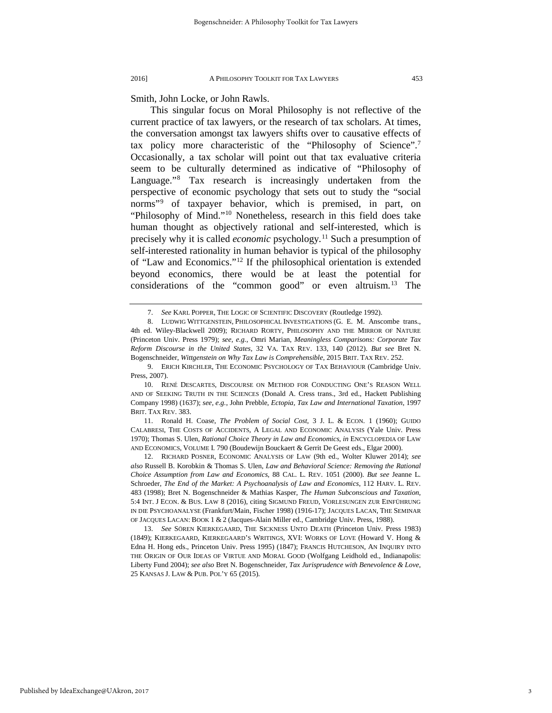Smith, John Locke, or John Rawls.

This singular focus on Moral Philosophy is not reflective of the current practice of tax lawyers, or the research of tax scholars. At times, the conversation amongst tax lawyers shifts over to causative effects of tax policy more characteristic of the "Philosophy of Science"[.7](#page-3-0) Occasionally, a tax scholar will point out that tax evaluative criteria seem to be culturally determined as indicative of "Philosophy of Language."[8](#page-3-1) Tax research is increasingly undertaken from the perspective of economic psychology that sets out to study the "social norms"<sup>[9](#page-3-2)</sup> of taxpayer behavior, which is premised, in part, on "Philosophy of Mind."[10](#page-3-3) Nonetheless, research in this field does take human thought as objectively rational and self-interested, which is precisely why it is called *economic* psychology.[11](#page-3-4) Such a presumption of self-interested rationality in human behavior is typical of the philosophy of "Law and Economics."[12](#page-3-5) If the philosophical orientation is extended beyond economics, there would be at least the potential for considerations of the "common good" or even altruism.[13](#page-3-6) The

<span id="page-3-2"></span>9. ERICH KIRCHLER, THE ECONOMIC PSYCHOLOGY OF TAX BEHAVIOUR (Cambridge Univ. Press, 2007).

<sup>7.</sup> *See* KARL POPPER, THE LOGIC OF SCIENTIFIC DISCOVERY (Routledge 1992).

<span id="page-3-1"></span><span id="page-3-0"></span><sup>8.</sup> LUDWIG WITTGENSTEIN, PHILOSOPHICAL INVESTIGATIONS (G. E. M. Anscombe trans., 4th ed. Wiley-Blackwell 2009); RICHARD RORTY, PHILOSOPHY AND THE MIRROR OF NATURE (Princeton Univ. Press 1979); *see, e.g.*, Omri Marian, *Meaningless Comparisons: Corporate Tax Reform Discourse in the United States*, 32 VA. TAX REV. 133, 140 (2012). *But see* Bret N. Bogenschneider, *Wittgenstein on Why Tax Law is Comprehensible*, 2015 BRIT. TAX REV. 252.

<span id="page-3-3"></span><sup>10.</sup> RENÉ DESCARTES, DISCOURSE ON METHOD FOR CONDUCTING ONE'S REASON WELL AND OF SEEKING TRUTH IN THE SCIENCES (Donald A. Cress trans., 3rd ed., Hackett Publishing Company 1998) (1637); *see, e.g.*, John Prebble, *Ectopia, Tax Law and International Taxation*, 1997 BRIT. TAX REV. 383.

<span id="page-3-4"></span><sup>11.</sup> Ronald H. Coase, *The Problem of Social Cost*, 3 J. L. & ECON. 1 (1960); GUIDO CALABRESI, THE COSTS OF ACCIDENTS, A LEGAL AND ECONOMIC ANALYSIS (Yale Univ. Press 1970); Thomas S. Ulen, *Rational Choice Theory in Law and Economics*, *in* ENCYCLOPEDIA OF LAW AND ECONOMICS, VOLUME I. 790 (Boudewijn Bouckaert & Gerrit De Geest eds., Elgar 2000).

<span id="page-3-5"></span><sup>12.</sup> RICHARD POSNER, ECONOMIC ANALYSIS OF LAW (9th ed., Wolter Kluwer 2014); *see also* Russell B. Korobkin & Thomas S. Ulen, *Law and Behavioral Science: Removing the Rational Choice Assumption from Law and Economics*, 88 CAL. L. REV. 1051 (2000). *But see* Jeanne L. Schroeder, *The End of the Market: A Psychoanalysis of Law and Economics*, 112 HARV. L. REV. 483 (1998); Bret N. Bogenschneider & Mathias Kasper, *The Human Subconscious and Taxation*, 5:4 INT. J ECON. & BUS. LAW 8 (2016), citing SIGMUND FREUD, VORLESUNGEN ZUR EINFÜHRUNG IN DIE PSYCHOANALYSE (Frankfurt/Main, Fischer 1998) (1916-17); JACQUES LACAN, THE SEMINAR OF JACQUES LACAN: BOOK 1 & 2 (Jacques-Alain Miller ed., Cambridge Univ. Press, 1988).

<span id="page-3-6"></span><sup>13.</sup> *See* SÖREN KIERKEGAARD, THE SICKNESS UNTO DEATH (Princeton Univ. Press 1983) (1849); KIERKEGAARD, KIERKEGAARD'S WRITINGS, XVI: WORKS OF LOVE (Howard V. Hong & Edna H. Hong eds., Princeton Univ. Press 1995) (1847); FRANCIS HUTCHESON, AN INQUIRY INTO THE ORIGIN OF OUR IDEAS OF VIRTUE AND MORAL GOOD (Wolfgang Leidhold ed., Indianapolis: Liberty Fund 2004); *see also* Bret N. Bogenschneider, *Tax Jurisprudence with Benevolence & Love*, 25 KANSAS J. LAW & PUB. POL'Y 65 (2015).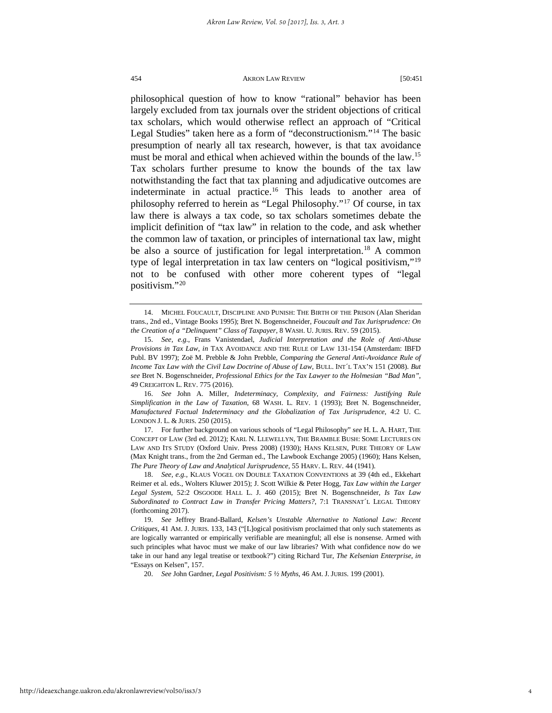philosophical question of how to know "rational" behavior has been largely excluded from tax journals over the strident objections of critical tax scholars, which would otherwise reflect an approach of "Critical Legal Studies" taken here as a form of "deconstructionism."[14](#page-4-0) The basic presumption of nearly all tax research, however, is that tax avoidance must be moral and ethical when achieved within the bounds of the law.<sup>[15](#page-4-1)</sup> Tax scholars further presume to know the bounds of the tax law notwithstanding the fact that tax planning and adjudicative outcomes are indeterminate in actual practice.<sup>[16](#page-4-2)</sup> This leads to another area of philosophy referred to herein as "Legal Philosophy.["17](#page-4-3) Of course, in tax law there is always a tax code, so tax scholars sometimes debate the implicit definition of "tax law" in relation to the code, and ask whether the common law of taxation, or principles of international tax law, might be also a source of justification for legal interpretation.<sup>[18](#page-4-4)</sup> A common type of legal interpretation in tax law centers on "logical positivism,"[19](#page-4-5) not to be confused with other more coherent types of "legal positivism."[20](#page-4-6)

<span id="page-4-2"></span>16. *See* John A. Miller, *Indeterminacy, Complexity, and Fairness: Justifying Rule Simplification in the Law of Taxation*, 68 WASH. L. REV. 1 (1993); Bret N. Bogenschneider, *Manufactured Factual Indeterminacy and the Globalization of Tax Jurisprudence*, 4:2 U. C. LONDON J. L. & JURIS. 250 (2015).

<span id="page-4-3"></span>17. For further background on various schools of "Legal Philosophy" *see* H. L. A. HART, THE CONCEPT OF LAW (3rd ed. 2012); KARL N. LLEWELLYN, THE BRAMBLE BUSH: SOME LECTURES ON LAW AND ITS STUDY (Oxford Univ. Press 2008) (1930); HANS KELSEN, PURE THEORY OF LAW (Max Knight trans., from the 2nd German ed., The Lawbook Exchange 2005) (1960); Hans Kelsen, *The Pure Theory of Law and Analytical Jurisprudence*, 55 HARV. L. REV. 44 (1941).

<span id="page-4-4"></span>18. *See, e.g.*, KLAUS VOGEL ON DOUBLE TAXATION CONVENTIONS at 39 (4th ed., Ekkehart Reimer et al. eds., Wolters Kluwer 2015); J. Scott Wilkie & Peter Hogg, *Tax Law within the Larger Legal System*, 52:2 OSGOODE HALL L. J. 460 (2015); Bret N. Bogenschneider, *Is Tax Law Subordinated to Contract Law in Transfer Pricing Matters?*, 7:1 TRANSNAT´L LEGAL THEORY (forthcoming 2017).

<span id="page-4-6"></span><span id="page-4-5"></span>19. *See* Jeffrey Brand-Ballard, *Kelsen's Unstable Alternative to National Law: Recent Critiques*, 41 AM. J. JURIS. 133, 143 ("[L]ogical positivism proclaimed that only such statements as are logically warranted or empirically verifiable are meaningful; all else is nonsense. Armed with such principles what havoc must we make of our law libraries? With what confidence now do we take in our hand any legal treatise or textbook?") citing Richard Tur, *The Kelsenian Enterprise*, *in* "Essays on Kelsen", 157.

20. *See* John Gardner, *Legal Positivism: 5 ½ Myths*, 46 AM. J. JURIS. 199 (2001).

<span id="page-4-0"></span><sup>14.</sup> MICHEL FOUCAULT, DISCIPLINE AND PUNISH: THE BIRTH OF THE PRISON (Alan Sheridan trans., 2nd ed., Vintage Books 1995); Bret N. Bogenschneider, *Foucault and Tax Jurisprudence: On the Creation of a "Delinquent" Class of Taxpayer*, 8 WASH. U. JURIS. REV. 59 (2015).

<span id="page-4-1"></span><sup>15.</sup> *See, e.g.*, Frans Vanistendael, *Judicial Interpretation and the Role of Anti-Abuse Provisions in Tax Law*, *in* TAX AVOIDANCE AND THE RULE OF LAW 131-154 (Amsterdam: IBFD Publ. BV 1997); Zoë M. Prebble & John Prebble, *Comparing the General Anti-Avoidance Rule of Income Tax Law with the Civil Law Doctrine of Abuse of Law*, BULL. INT´L TAX'N 151 (2008). *But see* Bret N. Bogenschneider, *Professional Ethics for the Tax Lawyer to the Holmesian "Bad Man"*, 49 CREIGHTON L. REV. 775 (2016).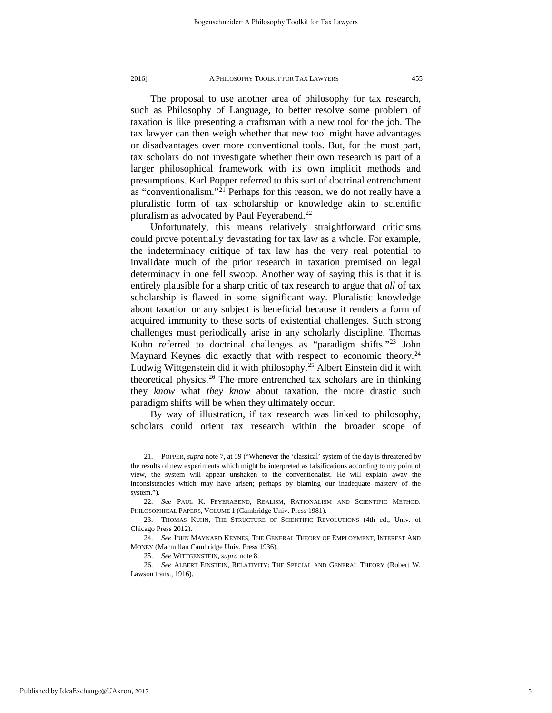The proposal to use another area of philosophy for tax research, such as Philosophy of Language, to better resolve some problem of taxation is like presenting a craftsman with a new tool for the job. The tax lawyer can then weigh whether that new tool might have advantages or disadvantages over more conventional tools. But, for the most part, tax scholars do not investigate whether their own research is part of a larger philosophical framework with its own implicit methods and presumptions. Karl Popper referred to this sort of doctrinal entrenchment as "conventionalism."[21](#page-5-0) Perhaps for this reason, we do not really have a pluralistic form of tax scholarship or knowledge akin to scientific pluralism as advocated by Paul Feyerabend.<sup>[22](#page-5-1)</sup>

Unfortunately, this means relatively straightforward criticisms could prove potentially devastating for tax law as a whole. For example, the indeterminacy critique of tax law has the very real potential to invalidate much of the prior research in taxation premised on legal determinacy in one fell swoop. Another way of saying this is that it is entirely plausible for a sharp critic of tax research to argue that *all* of tax scholarship is flawed in some significant way. Pluralistic knowledge about taxation or any subject is beneficial because it renders a form of acquired immunity to these sorts of existential challenges. Such strong challenges must periodically arise in any scholarly discipline. Thomas Kuhn referred to doctrinal challenges as "paradigm shifts.["23](#page-5-2) John Maynard Keynes did exactly that with respect to economic theory.<sup>[24](#page-5-3)</sup> Ludwig Wittgenstein did it with philosophy.<sup>[25](#page-5-4)</sup> Albert Einstein did it with theoretical physics.[26](#page-5-5) The more entrenched tax scholars are in thinking they *know* what *they know* about taxation, the more drastic such paradigm shifts will be when they ultimately occur.

By way of illustration, if tax research was linked to philosophy, scholars could orient tax research within the broader scope of

<span id="page-5-0"></span><sup>21.</sup> POPPER, *supra* note 7, at 59 ("Whenever the 'classical' system of the day is threatened by the results of new experiments which might be interpreted as falsifications according to my point of view, the system will appear unshaken to the conventionalist. He will explain away the inconsistencies which may have arisen; perhaps by blaming our inadequate mastery of the system.").

<span id="page-5-1"></span><sup>22.</sup> *See* PAUL K. FEYERABEND, REALISM, RATIONALISM AND SCIENTIFIC METHOD: PHILOSOPHICAL PAPERS, VOLUME 1 (Cambridge Univ. Press 1981).

<span id="page-5-2"></span><sup>23.</sup> THOMAS KUHN, THE STRUCTURE OF SCIENTIFIC REVOLUTIONS (4th ed., Univ. of Chicago Press 2012).

<span id="page-5-3"></span><sup>24.</sup> *See* JOHN MAYNARD KEYNES, THE GENERAL THEORY OF EMPLOYMENT, INTEREST AND MONEY (Macmillan Cambridge Univ. Press 1936).

<sup>25.</sup> *See* WITTGENSTEIN, *supra* note 8.

<span id="page-5-5"></span><span id="page-5-4"></span><sup>26.</sup> *See* ALBERT EINSTEIN, RELATIVITY: THE SPECIAL AND GENERAL THEORY (Robert W. Lawson trans., 1916).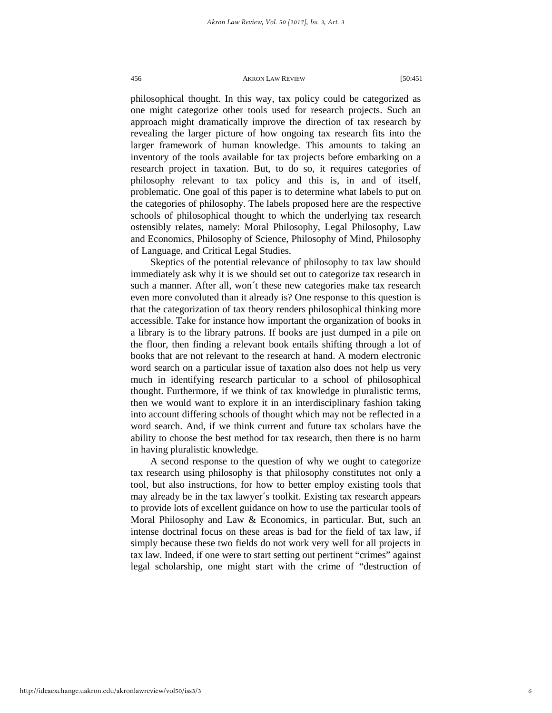philosophical thought. In this way, tax policy could be categorized as one might categorize other tools used for research projects. Such an approach might dramatically improve the direction of tax research by revealing the larger picture of how ongoing tax research fits into the larger framework of human knowledge. This amounts to taking an inventory of the tools available for tax projects before embarking on a research project in taxation. But, to do so, it requires categories of philosophy relevant to tax policy and this is, in and of itself, problematic. One goal of this paper is to determine what labels to put on the categories of philosophy. The labels proposed here are the respective schools of philosophical thought to which the underlying tax research ostensibly relates, namely: Moral Philosophy, Legal Philosophy, Law and Economics, Philosophy of Science, Philosophy of Mind, Philosophy of Language, and Critical Legal Studies.

Skeptics of the potential relevance of philosophy to tax law should immediately ask why it is we should set out to categorize tax research in such a manner. After all, won´t these new categories make tax research even more convoluted than it already is? One response to this question is that the categorization of tax theory renders philosophical thinking more accessible. Take for instance how important the organization of books in a library is to the library patrons. If books are just dumped in a pile on the floor, then finding a relevant book entails shifting through a lot of books that are not relevant to the research at hand. A modern electronic word search on a particular issue of taxation also does not help us very much in identifying research particular to a school of philosophical thought. Furthermore, if we think of tax knowledge in pluralistic terms, then we would want to explore it in an interdisciplinary fashion taking into account differing schools of thought which may not be reflected in a word search. And, if we think current and future tax scholars have the ability to choose the best method for tax research, then there is no harm in having pluralistic knowledge.

A second response to the question of why we ought to categorize tax research using philosophy is that philosophy constitutes not only a tool, but also instructions, for how to better employ existing tools that may already be in the tax lawyer´s toolkit. Existing tax research appears to provide lots of excellent guidance on how to use the particular tools of Moral Philosophy and Law & Economics, in particular. But, such an intense doctrinal focus on these areas is bad for the field of tax law, if simply because these two fields do not work very well for all projects in tax law. Indeed, if one were to start setting out pertinent "crimes" against legal scholarship, one might start with the crime of "destruction of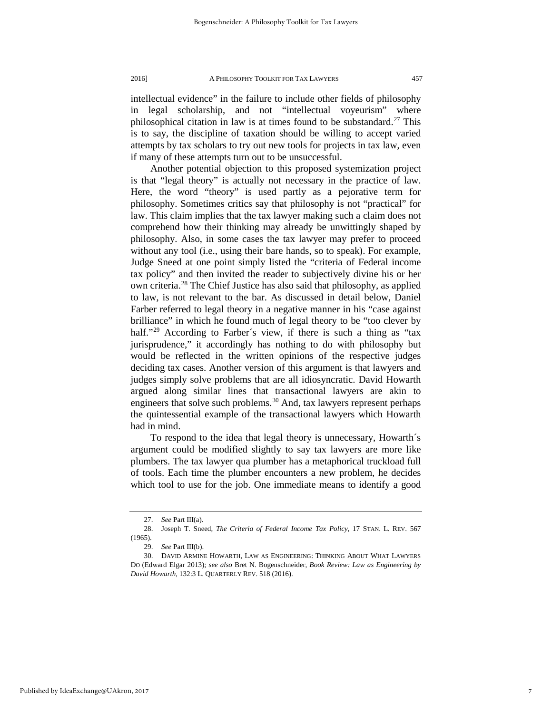intellectual evidence" in the failure to include other fields of philosophy in legal scholarship, and not "intellectual voyeurism" where philosophical citation in law is at times found to be substandard.<sup>[27](#page-7-0)</sup> This is to say, the discipline of taxation should be willing to accept varied attempts by tax scholars to try out new tools for projects in tax law, even if many of these attempts turn out to be unsuccessful.

Another potential objection to this proposed systemization project is that "legal theory" is actually not necessary in the practice of law. Here, the word "theory" is used partly as a pejorative term for philosophy. Sometimes critics say that philosophy is not "practical" for law. This claim implies that the tax lawyer making such a claim does not comprehend how their thinking may already be unwittingly shaped by philosophy. Also, in some cases the tax lawyer may prefer to proceed without any tool (i.e., using their bare hands, so to speak). For example, Judge Sneed at one point simply listed the "criteria of Federal income tax policy" and then invited the reader to subjectively divine his or her own criteria.[28](#page-7-1) The Chief Justice has also said that philosophy, as applied to law, is not relevant to the bar. As discussed in detail below, Daniel Farber referred to legal theory in a negative manner in his "case against brilliance" in which he found much of legal theory to be "too clever by half."<sup>[29](#page-7-2)</sup> According to Farber's view, if there is such a thing as "tax jurisprudence," it accordingly has nothing to do with philosophy but would be reflected in the written opinions of the respective judges deciding tax cases. Another version of this argument is that lawyers and judges simply solve problems that are all idiosyncratic. David Howarth argued along similar lines that transactional lawyers are akin to engineers that solve such problems. $30$  And, tax lawyers represent perhaps the quintessential example of the transactional lawyers which Howarth had in mind.

To respond to the idea that legal theory is unnecessary, Howarth´s argument could be modified slightly to say tax lawyers are more like plumbers. The tax lawyer qua plumber has a metaphorical truckload full of tools. Each time the plumber encounters a new problem, he decides which tool to use for the job. One immediate means to identify a good

<sup>27.</sup> *See* Part III(a).

<span id="page-7-1"></span><span id="page-7-0"></span><sup>28.</sup> Joseph T. Sneed, *The Criteria of Federal Income Tax Policy*, 17 STAN. L. REV. 567 (1965).

<sup>29.</sup> *See* Part III(b).

<span id="page-7-3"></span><span id="page-7-2"></span><sup>30.</sup> DAVID ARMINE HOWARTH, LAW AS ENGINEERING: THINKING ABOUT WHAT LAWYERS DO (Edward Elgar 2013); *see also* Bret N. Bogenschneider, *Book Review: Law as Engineering by David Howarth*, 132:3 L. QUARTERLY REV. 518 (2016).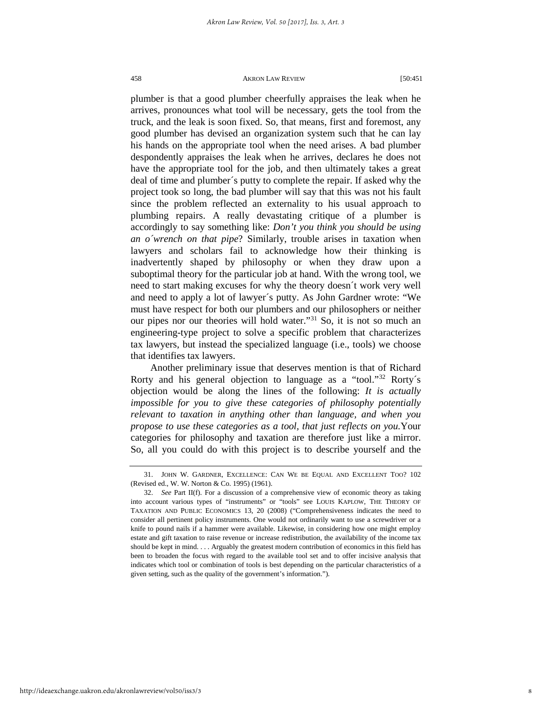plumber is that a good plumber cheerfully appraises the leak when he arrives, pronounces what tool will be necessary, gets the tool from the truck, and the leak is soon fixed. So, that means, first and foremost, any good plumber has devised an organization system such that he can lay his hands on the appropriate tool when the need arises. A bad plumber despondently appraises the leak when he arrives, declares he does not have the appropriate tool for the job, and then ultimately takes a great deal of time and plumber´s putty to complete the repair. If asked why the project took so long, the bad plumber will say that this was not his fault since the problem reflected an externality to his usual approach to plumbing repairs. A really devastating critique of a plumber is accordingly to say something like: *Don't you think you should be using an o´wrench on that pipe*? Similarly, trouble arises in taxation when lawyers and scholars fail to acknowledge how their thinking is inadvertently shaped by philosophy or when they draw upon a suboptimal theory for the particular job at hand. With the wrong tool, we need to start making excuses for why the theory doesn´t work very well and need to apply a lot of lawyer´s putty. As John Gardner wrote: "We must have respect for both our plumbers and our philosophers or neither our pipes nor our theories will hold water."[31](#page-8-0) So, it is not so much an engineering-type project to solve a specific problem that characterizes tax lawyers, but instead the specialized language (i.e., tools) we choose that identifies tax lawyers.

Another preliminary issue that deserves mention is that of Richard Rorty and his general objection to language as a "tool."<sup>[32](#page-8-1)</sup> Rorty's objection would be along the lines of the following: *It is actually impossible for you to give these categories of philosophy potentially relevant to taxation in anything other than language, and when you propose to use these categories as a tool, that just reflects on you.*Your categories for philosophy and taxation are therefore just like a mirror. So, all you could do with this project is to describe yourself and the

8

<span id="page-8-0"></span><sup>31.</sup> JOHN W. GARDNER, EXCELLENCE: CAN WE BE EQUAL AND EXCELLENT TOO? 102 (Revised ed., W. W. Norton & Co. 1995) (1961).

<span id="page-8-1"></span><sup>32.</sup> *See* Part II(f). For a discussion of a comprehensive view of economic theory as taking into account various types of "instruments" or "tools" see LOUIS KAPLOW, THE THEORY OF TAXATION AND PUBLIC ECONOMICS 13, 20 (2008) ("Comprehensiveness indicates the need to consider all pertinent policy instruments. One would not ordinarily want to use a screwdriver or a knife to pound nails if a hammer were available. Likewise, in considering how one might employ estate and gift taxation to raise revenue or increase redistribution, the availability of the income tax should be kept in mind. . . . Arguably the greatest modern contribution of economics in this field has been to broaden the focus with regard to the available tool set and to offer incisive analysis that indicates which tool or combination of tools is best depending on the particular characteristics of a given setting, such as the quality of the government's information.").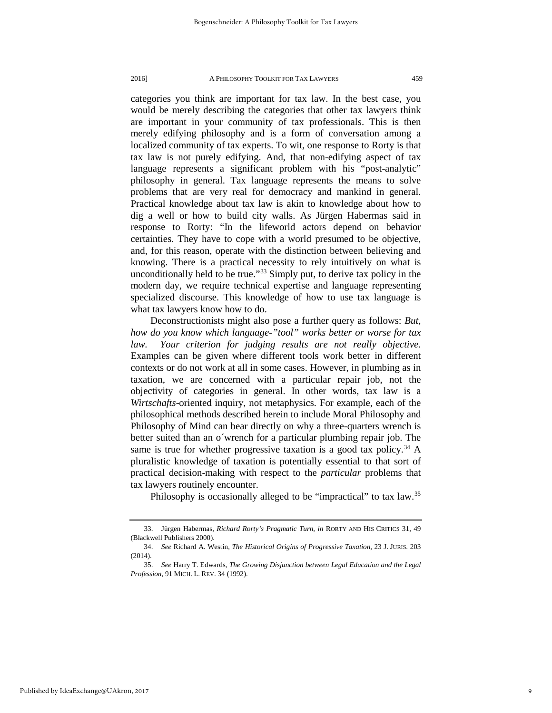categories you think are important for tax law. In the best case, you would be merely describing the categories that other tax lawyers think are important in your community of tax professionals. This is then merely edifying philosophy and is a form of conversation among a localized community of tax experts. To wit, one response to Rorty is that tax law is not purely edifying. And, that non-edifying aspect of tax language represents a significant problem with his "post-analytic" philosophy in general. Tax language represents the means to solve problems that are very real for democracy and mankind in general. Practical knowledge about tax law is akin to knowledge about how to dig a well or how to build city walls. As Jürgen Habermas said in response to Rorty: "In the lifeworld actors depend on behavior certainties. They have to cope with a world presumed to be objective, and, for this reason, operate with the distinction between believing and knowing. There is a practical necessity to rely intuitively on what is unconditionally held to be true."[33](#page-9-0) Simply put, to derive tax policy in the modern day, we require technical expertise and language representing specialized discourse. This knowledge of how to use tax language is what tax lawyers know how to do.

Deconstructionists might also pose a further query as follows: *But, how do you know which language-"tool" works better or worse for tax law. Your criterion for judging results are not really objective*. Examples can be given where different tools work better in different contexts or do not work at all in some cases. However, in plumbing as in taxation, we are concerned with a particular repair job, not the objectivity of categories in general. In other words, tax law is a *Wirtschafts*-oriented inquiry, not metaphysics. For example, each of the philosophical methods described herein to include Moral Philosophy and Philosophy of Mind can bear directly on why a three-quarters wrench is better suited than an o´wrench for a particular plumbing repair job. The same is true for whether progressive taxation is a good tax policy.<sup>[34](#page-9-1)</sup> A pluralistic knowledge of taxation is potentially essential to that sort of practical decision-making with respect to the *particular* problems that tax lawyers routinely encounter.

Philosophy is occasionally alleged to be "impractical" to tax law.<sup>[35](#page-9-2)</sup>

<span id="page-9-0"></span><sup>33.</sup> Jürgen Habermas, *Richard Rorty's Pragmatic Turn*, *in* RORTY AND HIS CRITICS 31, 49 (Blackwell Publishers 2000).

<sup>34.</sup> *See* Richard A. Westin, *The Historical Origins of Progressive Taxation*, 23 J. JURIS. 203 (2014).

<span id="page-9-2"></span><span id="page-9-1"></span><sup>35.</sup> *See* Harry T. Edwards, *The Growing Disjunction between Legal Education and the Legal Profession*, 91 MICH. L. REV. 34 (1992).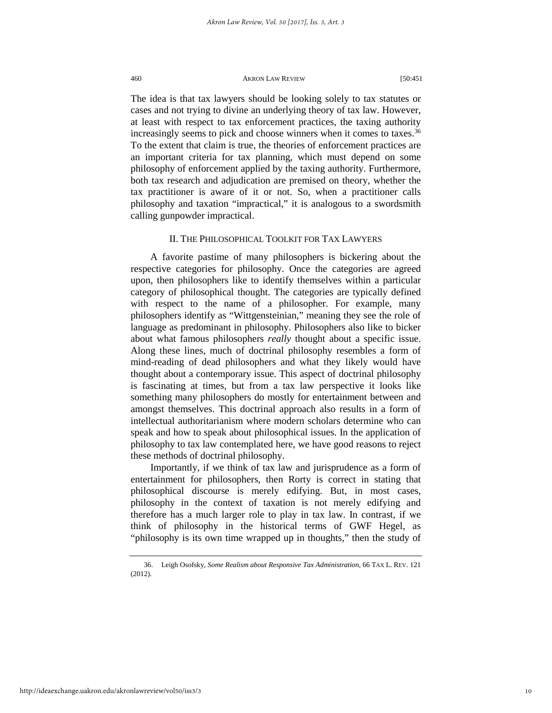The idea is that tax lawyers should be looking solely to tax statutes or cases and not trying to divine an underlying theory of tax law. However, at least with respect to tax enforcement practices, the taxing authority increasingly seems to pick and choose winners when it comes to taxes.<sup>[36](#page-10-0)</sup> To the extent that claim is true, the theories of enforcement practices are an important criteria for tax planning, which must depend on some philosophy of enforcement applied by the taxing authority. Furthermore, both tax research and adjudication are premised on theory, whether the tax practitioner is aware of it or not. So, when a practitioner calls philosophy and taxation "impractical," it is analogous to a swordsmith calling gunpowder impractical.

# II. THE PHILOSOPHICAL TOOLKIT FOR TAX LAWYERS

A favorite pastime of many philosophers is bickering about the respective categories for philosophy. Once the categories are agreed upon, then philosophers like to identify themselves within a particular category of philosophical thought. The categories are typically defined with respect to the name of a philosopher. For example, many philosophers identify as "Wittgensteinian," meaning they see the role of language as predominant in philosophy. Philosophers also like to bicker about what famous philosophers *really* thought about a specific issue. Along these lines, much of doctrinal philosophy resembles a form of mind-reading of dead philosophers and what they likely would have thought about a contemporary issue. This aspect of doctrinal philosophy is fascinating at times, but from a tax law perspective it looks like something many philosophers do mostly for entertainment between and amongst themselves. This doctrinal approach also results in a form of intellectual authoritarianism where modern scholars determine who can speak and how to speak about philosophical issues. In the application of philosophy to tax law contemplated here, we have good reasons to reject these methods of doctrinal philosophy.

Importantly, if we think of tax law and jurisprudence as a form of entertainment for philosophers, then Rorty is correct in stating that philosophical discourse is merely edifying. But, in most cases, philosophy in the context of taxation is not merely edifying and therefore has a much larger role to play in tax law. In contrast, if we think of philosophy in the historical terms of GWF Hegel, as "philosophy is its own time wrapped up in thoughts," then the study of

<span id="page-10-0"></span><sup>36.</sup> Leigh Osofsky, *Some Realism about Responsive Tax Administration*, 66 TAX L. REV. 121 (2012).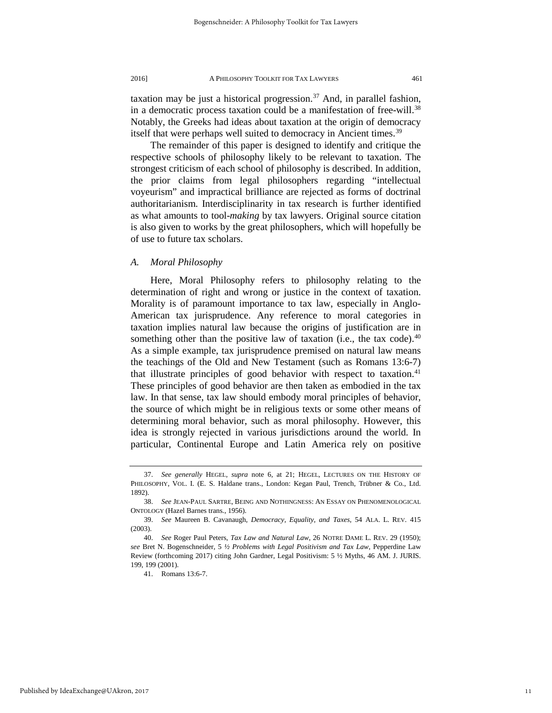taxation may be just a historical progression. $37$  And, in parallel fashion, in a democratic process taxation could be a manifestation of free-will.<sup>[38](#page-11-1)</sup> Notably, the Greeks had ideas about taxation at the origin of democracy itself that were perhaps well suited to democracy in Ancient times.<sup>[39](#page-11-2)</sup>

The remainder of this paper is designed to identify and critique the respective schools of philosophy likely to be relevant to taxation. The strongest criticism of each school of philosophy is described. In addition, the prior claims from legal philosophers regarding "intellectual voyeurism" and impractical brilliance are rejected as forms of doctrinal authoritarianism. Interdisciplinarity in tax research is further identified as what amounts to tool-*making* by tax lawyers. Original source citation is also given to works by the great philosophers, which will hopefully be of use to future tax scholars.

# *A. Moral Philosophy*

Here, Moral Philosophy refers to philosophy relating to the determination of right and wrong or justice in the context of taxation. Morality is of paramount importance to tax law, especially in Anglo-American tax jurisprudence. Any reference to moral categories in taxation implies natural law because the origins of justification are in something other than the positive law of taxation (i.e., the tax code). $40$ As a simple example, tax jurisprudence premised on natural law means the teachings of the Old and New Testament (such as Romans 13:6-7) that illustrate principles of good behavior with respect to taxation.<sup>[41](#page-11-4)</sup> These principles of good behavior are then taken as embodied in the tax law. In that sense, tax law should embody moral principles of behavior, the source of which might be in religious texts or some other means of determining moral behavior, such as moral philosophy. However, this idea is strongly rejected in various jurisdictions around the world. In particular, Continental Europe and Latin America rely on positive

<span id="page-11-0"></span><sup>37.</sup> *See generally* HEGEL, *supra* note 6, at 21; HEGEL, LECTURES ON THE HISTORY OF PHILOSOPHY, VOL. I. (E. S. Haldane trans., London: Kegan Paul, Trench, Trübner & Co., Ltd. 1892).

<span id="page-11-1"></span><sup>38.</sup> *See* JEAN-PAUL SARTRE, BEING AND NOTHINGNESS: AN ESSAY ON PHENOMENOLOGICAL ONTOLOGY (Hazel Barnes trans., 1956).

<span id="page-11-2"></span><sup>39.</sup> *See* Maureen B. Cavanaugh, *Democracy, Equality, and Taxes*, 54 ALA. L. REV. 415 (2003).

<span id="page-11-4"></span><span id="page-11-3"></span><sup>40.</sup> *See* Roger Paul Peters, *Tax Law and Natural Law*, 26 NOTRE DAME L. REV. 29 (1950); *see* Bret N. Bogenschneider, 5 *½ Problems with Legal Positivism and Tax Law*, Pepperdine Law Review (forthcoming 2017) citing John Gardner, Legal Positivism: 5 ½ Myths, 46 AM. J. JURIS. 199, 199 (2001).

<sup>41.</sup> Romans 13:6-7.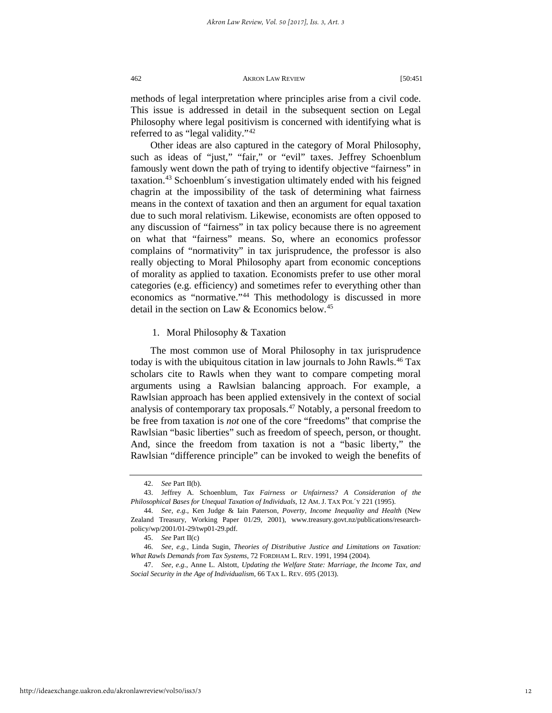methods of legal interpretation where principles arise from a civil code. This issue is addressed in detail in the subsequent section on Legal Philosophy where legal positivism is concerned with identifying what is referred to as "legal validity."<sup>[42](#page-12-0)</sup>

Other ideas are also captured in the category of Moral Philosophy, such as ideas of "just," "fair," or "evil" taxes. Jeffrey Schoenblum famously went down the path of trying to identify objective "fairness" in taxation.[43](#page-12-1) Schoenblum´s investigation ultimately ended with his feigned chagrin at the impossibility of the task of determining what fairness means in the context of taxation and then an argument for equal taxation due to such moral relativism. Likewise, economists are often opposed to any discussion of "fairness" in tax policy because there is no agreement on what that "fairness" means. So, where an economics professor complains of "normativity" in tax jurisprudence, the professor is also really objecting to Moral Philosophy apart from economic conceptions of morality as applied to taxation. Economists prefer to use other moral categories (e.g. efficiency) and sometimes refer to everything other than economics as "normative."<sup>[44](#page-12-2)</sup> This methodology is discussed in more detail in the section on Law & Economics below.<sup>[45](#page-12-3)</sup>

1. Moral Philosophy & Taxation

The most common use of Moral Philosophy in tax jurisprudence today is with the ubiquitous citation in law journals to John Rawls.<sup>[46](#page-12-4)</sup> Tax scholars cite to Rawls when they want to compare competing moral arguments using a Rawlsian balancing approach. For example, a Rawlsian approach has been applied extensively in the context of social analysis of contemporary tax proposals.[47](#page-12-5) Notably, a personal freedom to be free from taxation is *not* one of the core "freedoms" that comprise the Rawlsian "basic liberties" such as freedom of speech, person, or thought. And, since the freedom from taxation is not a "basic liberty," the Rawlsian "difference principle" can be invoked to weigh the benefits of

<sup>42.</sup> *See* Part II(b).

<span id="page-12-1"></span><span id="page-12-0"></span><sup>43.</sup> Jeffrey A. Schoenblum, *Tax Fairness or Unfairness? A Consideration of the Philosophical Bases for Unequal Taxation of Individuals*, 12 AM. J. TAX POL´Y 221 (1995).

<span id="page-12-2"></span><sup>44.</sup> *See, e.g.*, Ken Judge & Iain Paterson, *Poverty, Income Inequality and Health* (New Zealand Treasury, Working Paper 01/29, 2001), www.treasury.govt.nz/publications/researchpolicy/wp/2001/01-29/twp01-29.pdf.

<sup>45.</sup> *See* Part II(c)

<span id="page-12-4"></span><span id="page-12-3"></span><sup>46.</sup> *See, e.g.*, Linda Sugin, *Theories of Distributive Justice and Limitations on Taxation: What Rawls Demands from Tax Systems*, 72 FORDHAM L. REV. 1991, 1994 (2004).

<span id="page-12-5"></span><sup>47.</sup> *See, e.g.*, Anne L. Alstott, *Updating the Welfare State: Marriage, the Income Tax, and Social Security in the Age of Individualism*, 66 TAX L. REV. 695 (2013).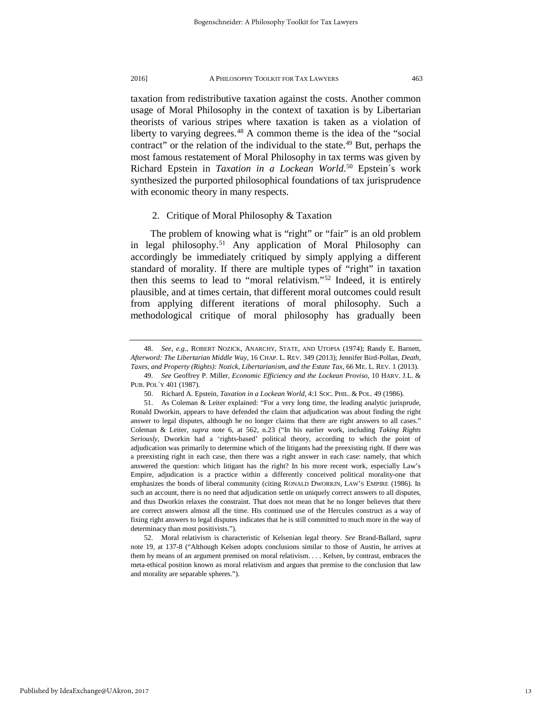taxation from redistributive taxation against the costs. Another common usage of Moral Philosophy in the context of taxation is by Libertarian theorists of various stripes where taxation is taken as a violation of liberty to varying degrees.<sup>[48](#page-13-0)</sup> A common theme is the idea of the "social contract" or the relation of the individual to the state.<sup>[49](#page-13-1)</sup> But, perhaps the most famous restatement of Moral Philosophy in tax terms was given by Richard Epstein in *Taxation in a Lockean World*. [50](#page-13-2) Epstein´s work synthesized the purported philosophical foundations of tax jurisprudence with economic theory in many respects.

# 2. Critique of Moral Philosophy & Taxation

The problem of knowing what is "right" or "fair" is an old problem in legal philosophy.<sup>[51](#page-13-3)</sup> Any application of Moral Philosophy can accordingly be immediately critiqued by simply applying a different standard of morality. If there are multiple types of "right" in taxation then this seems to lead to "moral relativism."[52](#page-13-4) Indeed, it is entirely plausible, and at times certain, that different moral outcomes could result from applying different iterations of moral philosophy. Such a methodological critique of moral philosophy has gradually been

<span id="page-13-0"></span><sup>48.</sup> *See, e.g.*, ROBERT NOZICK, ANARCHY, STATE, AND UTOPIA (1974); Randy E. Barnett, *Afterword: The Libertarian Middle Way*, 16 CHAP. L. REV. 349 (2013); Jennifer Bird-Pollan, *Death, Taxes, and Property (Rights): Nozick, Libertarianism, and the Estate Tax*, 66 ME. L. REV. 1 (2013).

<span id="page-13-1"></span><sup>49.</sup> *See* Geoffrey P. Miller, *Economic Efficiency and the Lockean Proviso*, 10 HARV. J.L. & PUB. POL´Y 401 (1987).

<sup>50.</sup> Richard A. Epstein, *Taxation in a Lockean World*, 4:1 SOC. PHIL. & POL. 49 (1986).

<span id="page-13-3"></span><span id="page-13-2"></span><sup>51.</sup> As Coleman & Leiter explained: "For a very long time, the leading analytic jurisprude, Ronald Dworkin, appears to have defended the claim that adjudication was about finding the right answer to legal disputes, although he no longer claims that there are right answers to all cases." Coleman & Leiter, *supra* note 6, at 562, n.23 ("In his earlier work, including *Taking Rights Seriously*, Dworkin had a 'rights-based' political theory, according to which the point of adjudication was primarily to determine which of the litigants had the preexisting right. If there was a preexisting right in each case, then there was a right answer in each case: namely, that which answered the question: which litigant has the right? In his more recent work, especially Law's Empire, adjudication is a practice within a differently conceived political morality-one that emphasizes the bonds of liberal community (citing RONALD DWORKIN, LAW'S EMPIRE (1986). In such an account, there is no need that adjudication settle on uniquely correct answers to all disputes, and thus Dworkin relaxes the constraint. That does not mean that he no longer believes that there are correct answers almost all the time. His continued use of the Hercules construct as a way of fixing right answers to legal disputes indicates that he is still committed to much more in the way of determinacy than most positivists.").

<span id="page-13-4"></span><sup>52.</sup> Moral relativism is characteristic of Kelsenian legal theory. *See* Brand-Ballard, *supra* note 19, at 137-8 ("Although Kelsen adopts conclusions similar to those of Austin, he arrives at them by means of an argument premised on moral relativism. . . . Kelsen, by contrast, embraces the meta-ethical position known as moral relativism and argues that premise to the conclusion that law and morality are separable spheres.").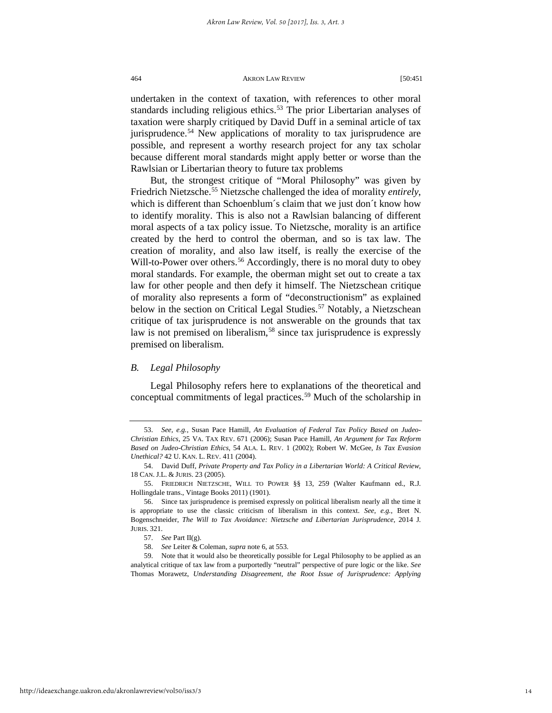undertaken in the context of taxation, with references to other moral standards including religious ethics.<sup>[53](#page-14-0)</sup> The prior Libertarian analyses of taxation were sharply critiqued by David Duff in a seminal article of tax jurisprudence.<sup>[54](#page-14-1)</sup> New applications of morality to tax jurisprudence are possible, and represent a worthy research project for any tax scholar because different moral standards might apply better or worse than the Rawlsian or Libertarian theory to future tax problems

But, the strongest critique of "Moral Philosophy" was given by Friedrich Nietzsche.[55](#page-14-2) Nietzsche challenged the idea of morality *entirely*, which is different than Schoenblum´s claim that we just don´t know how to identify morality. This is also not a Rawlsian balancing of different moral aspects of a tax policy issue. To Nietzsche, morality is an artifice created by the herd to control the oberman, and so is tax law. The creation of morality, and also law itself, is really the exercise of the Will-to-Power over others.<sup>[56](#page-14-3)</sup> Accordingly, there is no moral duty to obey moral standards. For example, the oberman might set out to create a tax law for other people and then defy it himself. The Nietzschean critique of morality also represents a form of "deconstructionism" as explained below in the section on Critical Legal Studies.<sup>[57](#page-14-4)</sup> Notably, a Nietzschean critique of tax jurisprudence is not answerable on the grounds that tax law is not premised on liberalism,<sup>[58](#page-14-5)</sup> since tax jurisprudence is expressly premised on liberalism.

## *B. Legal Philosophy*

Legal Philosophy refers here to explanations of the theoretical and conceptual commitments of legal practices.[59](#page-14-6) Much of the scholarship in

<span id="page-14-0"></span><sup>53.</sup> *See, e.g.*, Susan Pace Hamill, *An Evaluation of Federal Tax Policy Based on Judeo-Christian Ethics*, 25 VA. TAX REV. 671 (2006); Susan Pace Hamill, *An Argument for Tax Reform Based on Judeo-Christian Ethics*, 54 ALA. L. REV. 1 (2002); Robert W. McGee, *Is Tax Evasion Unethical?* 42 U. KAN. L. REV. 411 (2004).

<span id="page-14-1"></span><sup>54.</sup> David Duff, *Private Property and Tax Policy in a Libertarian World: A Critical Review*, 18 CAN. J.L. & JURIS. 23 (2005).

<span id="page-14-2"></span><sup>55.</sup> FRIEDRICH NIETZSCHE, WILL TO POWER §§ 13, 259 (Walter Kaufmann ed., R.J. Hollingdale trans., Vintage Books 2011) (1901).

<span id="page-14-3"></span><sup>56.</sup> Since tax jurisprudence is premised expressly on political liberalism nearly all the time it is appropriate to use the classic criticism of liberalism in this context. *See, e.g.*, Bret N. Bogenschneider, *The Will to Tax Avoidance: Nietzsche and Libertarian Jurisprudence*, 2014 J. JURIS. 321.

<sup>57.</sup> *See* Part II(g).

<sup>58.</sup> *See* Leiter & Coleman, *supra* note 6, at 553.

<span id="page-14-6"></span><span id="page-14-5"></span><span id="page-14-4"></span><sup>59.</sup> Note that it would also be theoretically possible for Legal Philosophy to be applied as an analytical critique of tax law from a purportedly "neutral" perspective of pure logic or the like. *See* Thomas Morawetz, *Understanding Disagreement, the Root Issue of Jurisprudence: Applying*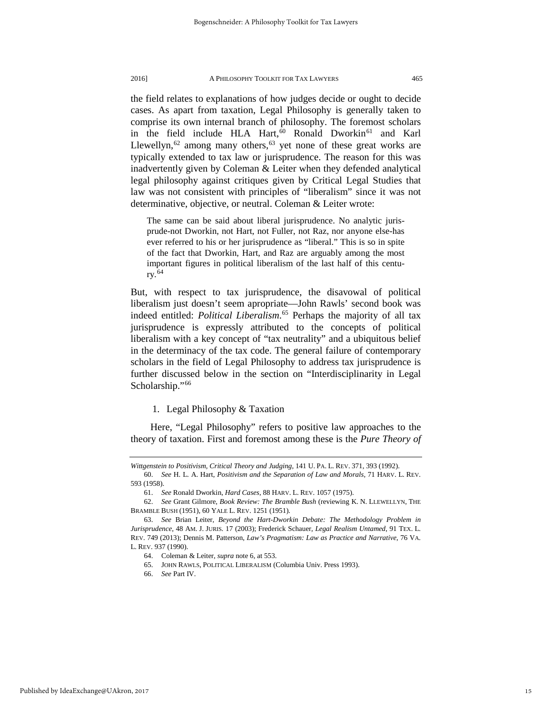the field relates to explanations of how judges decide or ought to decide cases. As apart from taxation, Legal Philosophy is generally taken to comprise its own internal branch of philosophy. The foremost scholars in the field include HLA Hart,<sup>[60](#page-15-0)</sup> Ronald Dworkin<sup>[61](#page-15-1)</sup> and Karl Llewellyn,  $62$  among many others,  $63$  yet none of these great works are typically extended to tax law or jurisprudence. The reason for this was inadvertently given by Coleman & Leiter when they defended analytical legal philosophy against critiques given by Critical Legal Studies that law was not consistent with principles of "liberalism" since it was not determinative, objective, or neutral. Coleman & Leiter wrote:

The same can be said about liberal jurisprudence. No analytic jurisprude-not Dworkin, not Hart, not Fuller, not Raz, nor anyone else-has ever referred to his or her jurisprudence as "liberal." This is so in spite of the fact that Dworkin, Hart, and Raz are arguably among the most important figures in political liberalism of the last half of this century.  $64$ 

But, with respect to tax jurisprudence, the disavowal of political liberalism just doesn't seem apropriate—John Rawls' second book was indeed entitled: *Political Liberalism*. [65](#page-15-5) Perhaps the majority of all tax jurisprudence is expressly attributed to the concepts of political liberalism with a key concept of "tax neutrality" and a ubiquitous belief in the determinacy of the tax code. The general failure of contemporary scholars in the field of Legal Philosophy to address tax jurisprudence is further discussed below in the section on "Interdisciplinarity in Legal Scholarship."<sup>[66](#page-15-6)</sup>

# 1. Legal Philosophy & Taxation

Here, "Legal Philosophy" refers to positive law approaches to the theory of taxation. First and foremost among these is the *Pure Theory of* 

*Wittgenstein to Positivism, Critical Theory and Judging*, 141 U. PA. L. REV. 371, 393 (1992).

<span id="page-15-0"></span><sup>60.</sup> *See* H. L. A. Hart, *Positivism and the Separation of Law and Morals*, 71 HARV. L. REV. 593 (1958).

<sup>61.</sup> *See* Ronald Dworkin, *Hard Cases*, 88 HARV. L. REV. 1057 (1975).

<span id="page-15-2"></span><span id="page-15-1"></span><sup>62.</sup> *See* Grant Gilmore, *Book Review: The Bramble Bush* (reviewing K. N. LLEWELLYN, THE BRAMBLE BUSH (1951), 60 YALE L. REV. 1251 (1951).

<span id="page-15-6"></span><span id="page-15-5"></span><span id="page-15-4"></span><span id="page-15-3"></span><sup>63.</sup> *See* Brian Leiter, *Beyond the Hart-Dworkin Debate: The Methodology Problem in Jurisprudence*, 48 AM. J. JURIS. 17 (2003); Frederick Schauer, *Legal Realism Untamed*, 91 TEX. L. REV. 749 (2013); Dennis M. Patterson, *Law's Pragmatism: Law as Practice and Narrative*, 76 VA. L. REV. 937 (1990).

<sup>64.</sup> Coleman & Leiter, *supra* note 6, at 553.

<sup>65.</sup> JOHN RAWLS, POLITICAL LIBERALISM (Columbia Univ. Press 1993).

<sup>66.</sup> *See* Part IV.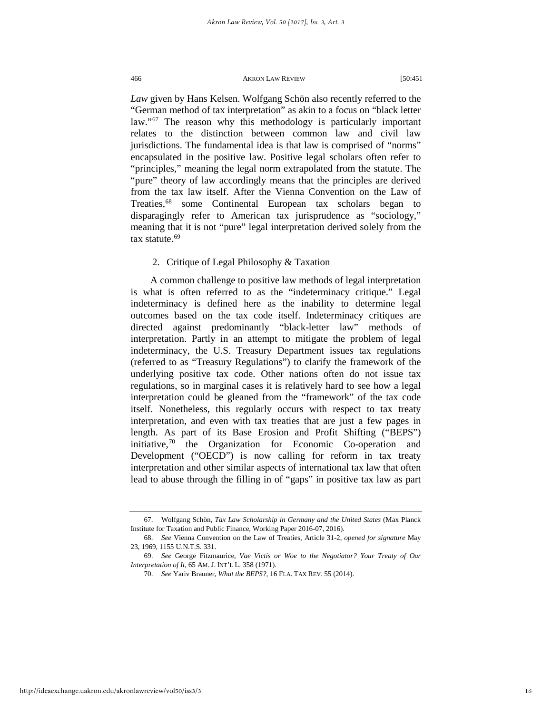*Law* given by Hans Kelsen. Wolfgang Schön also recently referred to the "German method of tax interpretation" as akin to a focus on "black letter law."<sup>[67](#page-16-0)</sup> The reason why this methodology is particularly important relates to the distinction between common law and civil law jurisdictions. The fundamental idea is that law is comprised of "norms" encapsulated in the positive law. Positive legal scholars often refer to "principles," meaning the legal norm extrapolated from the statute. The "pure" theory of law accordingly means that the principles are derived from the tax law itself. After the Vienna Convention on the Law of Treaties,<sup>[68](#page-16-1)</sup> some Continental European tax scholars began to disparagingly refer to American tax jurisprudence as "sociology," meaning that it is not "pure" legal interpretation derived solely from the tax statute.<sup>[69](#page-16-2)</sup>

# 2. Critique of Legal Philosophy & Taxation

A common challenge to positive law methods of legal interpretation is what is often referred to as the "indeterminacy critique." Legal indeterminacy is defined here as the inability to determine legal outcomes based on the tax code itself. Indeterminacy critiques are directed against predominantly "black-letter law" methods of interpretation. Partly in an attempt to mitigate the problem of legal indeterminacy, the U.S. Treasury Department issues tax regulations (referred to as "Treasury Regulations") to clarify the framework of the underlying positive tax code. Other nations often do not issue tax regulations, so in marginal cases it is relatively hard to see how a legal interpretation could be gleaned from the "framework" of the tax code itself. Nonetheless, this regularly occurs with respect to tax treaty interpretation, and even with tax treaties that are just a few pages in length. As part of its Base Erosion and Profit Shifting ("BEPS") initiative,  $70$  the Organization for Economic Co-operation and Development ("OECD") is now calling for reform in tax treaty interpretation and other similar aspects of international tax law that often lead to abuse through the filling in of "gaps" in positive tax law as part

<span id="page-16-0"></span><sup>67.</sup> Wolfgang Schön, *Tax Law Scholarship in Germany and the United States* (Max Planck Institute for Taxation and Public Finance, Working Paper 2016-07, 2016).

<span id="page-16-1"></span><sup>68.</sup> *See* Vienna Convention on the Law of Treaties, Article 31-2, *opened for signature* May 23, 1969, 1155 U.N.T.S. 331.

<span id="page-16-3"></span><span id="page-16-2"></span><sup>69.</sup> *See* George Fitzmaurice, *Vae Victis or Woe to the Negotiator? Your Treaty of Our Interpretation of It*, 65 AM. J. INT'L L. 358 (1971).

<sup>70.</sup> *See* Yariv Brauner, *What the BEPS?*, 16 FLA. TAX REV. 55 (2014).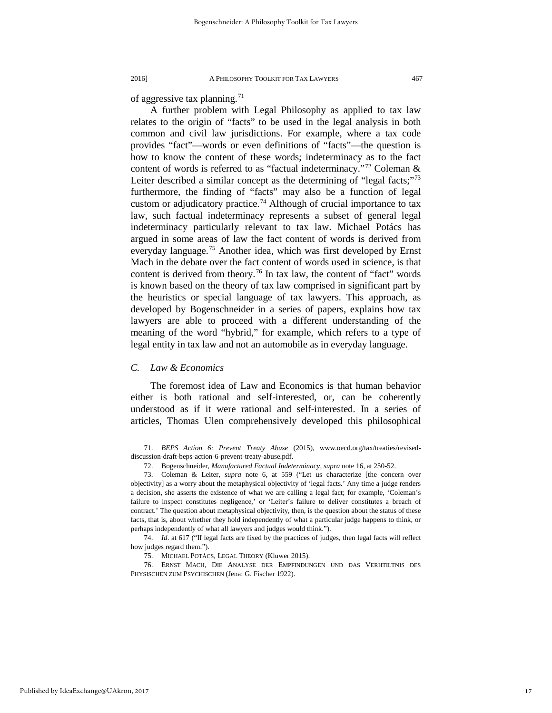of aggressive tax planning.[71](#page-17-0)

A further problem with Legal Philosophy as applied to tax law relates to the origin of "facts" to be used in the legal analysis in both common and civil law jurisdictions. For example, where a tax code provides "fact"—words or even definitions of "facts"—the question is how to know the content of these words; indeterminacy as to the fact content of words is referred to as "factual indeterminacy."[72](#page-17-1) Coleman & Leiter described a similar concept as the determining of "legal facts;"<sup>[73](#page-17-2)</sup> furthermore, the finding of "facts" may also be a function of legal custom or adjudicatory practice.<sup>[74](#page-17-3)</sup> Although of crucial importance to tax law, such factual indeterminacy represents a subset of general legal indeterminacy particularly relevant to tax law. Michael Potács has argued in some areas of law the fact content of words is derived from everyday language.<sup>[75](#page-17-4)</sup> Another idea, which was first developed by Ernst Mach in the debate over the fact content of words used in science, is that content is derived from theory.<sup>[76](#page-17-5)</sup> In tax law, the content of "fact" words is known based on the theory of tax law comprised in significant part by the heuristics or special language of tax lawyers. This approach, as developed by Bogenschneider in a series of papers, explains how tax lawyers are able to proceed with a different understanding of the meaning of the word "hybrid," for example, which refers to a type of legal entity in tax law and not an automobile as in everyday language.

# *C. Law & Economics*

The foremost idea of Law and Economics is that human behavior either is both rational and self-interested, or, can be coherently understood as if it were rational and self-interested. In a series of articles, Thomas Ulen comprehensively developed this philosophical

<span id="page-17-3"></span><span id="page-17-2"></span><span id="page-17-1"></span><span id="page-17-0"></span>

<sup>71.</sup> *BEPS Action 6: Prevent Treaty Abuse* (2015), www.oecd.org/tax/treaties/reviseddiscussion-draft-beps-action-6-prevent-treaty-abuse.pdf.

<sup>72.</sup> Bogenschneider, *Manufactured Factual Indeterminacy*, *supra* note 16, at 250-52.

<sup>73.</sup> Coleman & Leiter, *supra* note 6, at 559 ("Let us characterize [the concern over objectivity] as a worry about the metaphysical objectivity of 'legal facts.' Any time a judge renders a decision, she asserts the existence of what we are calling a legal fact; for example, 'Coleman's failure to inspect constitutes negligence,' or 'Leiter's failure to deliver constitutes a breach of contract.' The question about metaphysical objectivity, then, is the question about the status of these facts, that is, about whether they hold independently of what a particular judge happens to think, or perhaps independently of what all lawyers and judges would think.").

<sup>74.</sup> *Id*. at 617 ("If legal facts are fixed by the practices of judges, then legal facts will reflect how judges regard them.").

<sup>75.</sup> MICHAEL POTÁCS, LEGAL THEORY (Kluwer 2015).

<span id="page-17-5"></span><span id="page-17-4"></span><sup>76.</sup> ERNST MACH, DIE ANALYSE DER EMPFINDUNGEN UND DAS VERHTILTNIS DES PHYSISCHEN ZUM PSYCHISCHEN (Jena: G. Fischer 1922).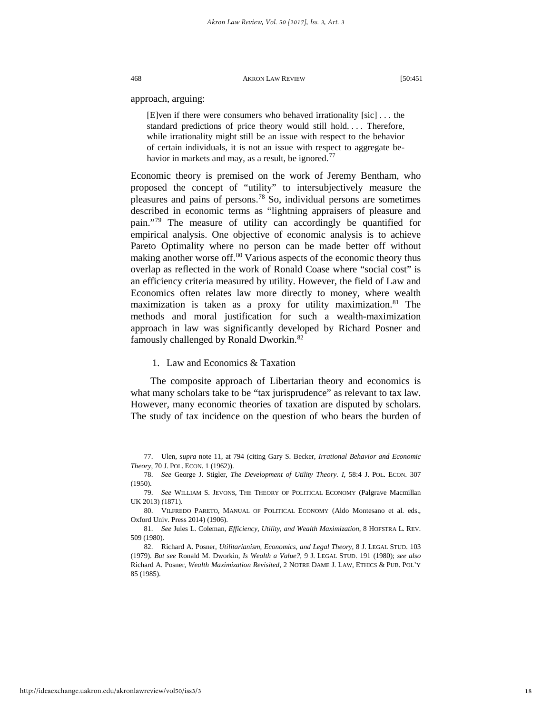approach, arguing:

[E]ven if there were consumers who behaved irrationality [sic] . . . the standard predictions of price theory would still hold. . . . Therefore, while irrationality might still be an issue with respect to the behavior of certain individuals, it is not an issue with respect to aggregate be-havior in markets and may, as a result, be ignored.<sup>[77](#page-18-0)</sup>

Economic theory is premised on the work of Jeremy Bentham, who proposed the concept of "utility" to intersubjectively measure the pleasures and pains of persons.[78](#page-18-1) So, individual persons are sometimes described in economic terms as "lightning appraisers of pleasure and pain."[79](#page-18-2) The measure of utility can accordingly be quantified for empirical analysis. One objective of economic analysis is to achieve Pareto Optimality where no person can be made better off without making another worse off.<sup>[80](#page-18-3)</sup> Various aspects of the economic theory thus overlap as reflected in the work of Ronald Coase where "social cost" is an efficiency criteria measured by utility. However, the field of Law and Economics often relates law more directly to money, where wealth maximization is taken as a proxy for utility maximization.<sup>[81](#page-18-4)</sup> The methods and moral justification for such a wealth-maximization approach in law was significantly developed by Richard Posner and famously challenged by Ronald Dworkin.<sup>[82](#page-18-5)</sup>

# 1. Law and Economics & Taxation

The composite approach of Libertarian theory and economics is what many scholars take to be "tax jurisprudence" as relevant to tax law. However, many economic theories of taxation are disputed by scholars. The study of tax incidence on the question of who bears the burden of

<span id="page-18-0"></span><sup>77.</sup> Ulen, *supra* note 11, at 794 (citing Gary S. Becker, *Irrational Behavior and Economic Theory*, 70 J. POL. ECON. 1 (1962)).

<span id="page-18-1"></span><sup>78.</sup> *See* George J. Stigler, *The Development of Utility Theory. I*, 58:4 J. POL. ECON. 307 (1950).

<span id="page-18-2"></span><sup>79.</sup> *See* WILLIAM S. JEVONS, THE THEORY OF POLITICAL ECONOMY (Palgrave Macmillan UK 2013) (1871).

<span id="page-18-3"></span><sup>80.</sup> VILFREDO PARETO, MANUAL OF POLITICAL ECONOMY (Aldo Montesano et al. eds., Oxford Univ. Press 2014) (1906).

<span id="page-18-4"></span><sup>81.</sup> *See* Jules L. Coleman, *Efficiency, Utility, and Wealth Maximization*, 8 HOFSTRA L. REV. 509 (1980).

<span id="page-18-5"></span><sup>82.</sup> Richard A. Posner, *Utilitarianism, Economics, and Legal Theory*, 8 J. LEGAL STUD. 103 (1979). *But see* Ronald M. Dworkin, *Is Wealth a Value?*, 9 J. LEGAL STUD. 191 (1980); *see also* Richard A. Posner, *Wealth Maximization Revisited*, 2 NOTRE DAME J. LAW, ETHICS & PUB. POL'Y 85 (1985).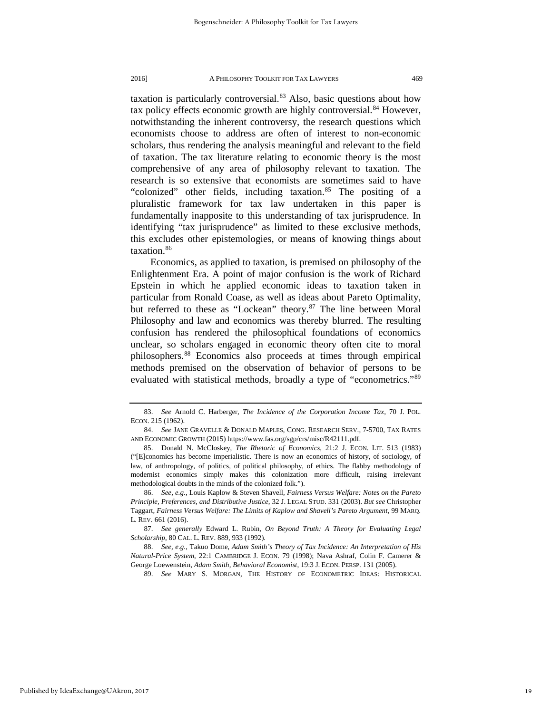taxation is particularly controversial.<sup>[83](#page-19-0)</sup> Also, basic questions about how tax policy effects economic growth are highly controversial.<sup>[84](#page-19-1)</sup> However, notwithstanding the inherent controversy, the research questions which economists choose to address are often of interest to non-economic scholars, thus rendering the analysis meaningful and relevant to the field of taxation. The tax literature relating to economic theory is the most comprehensive of any area of philosophy relevant to taxation. The research is so extensive that economists are sometimes said to have "colonized" other fields, including taxation.<sup>85</sup> The positing of a pluralistic framework for tax law undertaken in this paper is fundamentally inapposite to this understanding of tax jurisprudence. In identifying "tax jurisprudence" as limited to these exclusive methods, this excludes other epistemologies, or means of knowing things about taxation.<sup>[86](#page-19-3)</sup>

Economics, as applied to taxation, is premised on philosophy of the Enlightenment Era. A point of major confusion is the work of Richard Epstein in which he applied economic ideas to taxation taken in particular from Ronald Coase, as well as ideas about Pareto Optimality, but referred to these as "Lockean" theory.<sup>[87](#page-19-4)</sup> The line between Moral Philosophy and law and economics was thereby blurred. The resulting confusion has rendered the philosophical foundations of economics unclear, so scholars engaged in economic theory often cite to moral philosophers[.88](#page-19-5) Economics also proceeds at times through empirical methods premised on the observation of behavior of persons to be evaluated with statistical methods, broadly a type of "econometrics."[89](#page-19-6)

<span id="page-19-0"></span><sup>83.</sup> *See* Arnold C. Harberger, *The Incidence of the Corporation Income Tax*, 70 J. POL. ECON. 215 (1962).

<span id="page-19-1"></span><sup>84.</sup> *See* JANE GRAVELLE & DONALD MAPLES, CONG. RESEARCH SERV., 7-5700, TAX RATES AND ECONOMIC GROWTH (2015) https://www.fas.org/sgp/crs/misc/R42111.pdf.

<span id="page-19-2"></span><sup>85.</sup> Donald N. McCloskey, *The Rhetoric of Economics*, 21:2 J. ECON. LIT. 513 (1983) ("[E]conomics has become imperialistic. There is now an economics of history, of sociology, of law, of anthropology, of politics, of political philosophy, of ethics. The flabby methodology of modernist economics simply makes this colonization more difficult, raising irrelevant methodological doubts in the minds of the colonized folk.").

<span id="page-19-3"></span><sup>86.</sup> *See, e.g.*, Louis Kaplow & Steven Shavell, *Fairness Versus Welfare: Notes on the Pareto Principle, Preferences, and Distributive Justice*, 32 J. LEGAL STUD. 331 (2003). *But see* Christopher Taggart, *Fairness Versus Welfare: The Limits of Kaplow and Shavell's Pareto Argument*, 99 MARQ. L. REV. 661 (2016).

<span id="page-19-4"></span><sup>87.</sup> *See generally* Edward L. Rubin, *On Beyond Truth: A Theory for Evaluating Legal Scholarship*, 80 CAL. L. REV. 889, 933 (1992).

<span id="page-19-6"></span><span id="page-19-5"></span><sup>88.</sup> *See, e.g.*, Takuo Dome, *Adam Smith's Theory of Tax Incidence: An Interpretation of His Natural-Price System*, 22:1 CAMBRIDGE J. ECON. 79 (1998); Nava Ashraf, Colin F. Camerer & George Loewenstein, *Adam Smith, Behavioral Economist*, 19:3 J. ECON. PERSP. 131 (2005).

<sup>89.</sup> *See* MARY S. MORGAN, THE HISTORY OF ECONOMETRIC IDEAS: HISTORICAL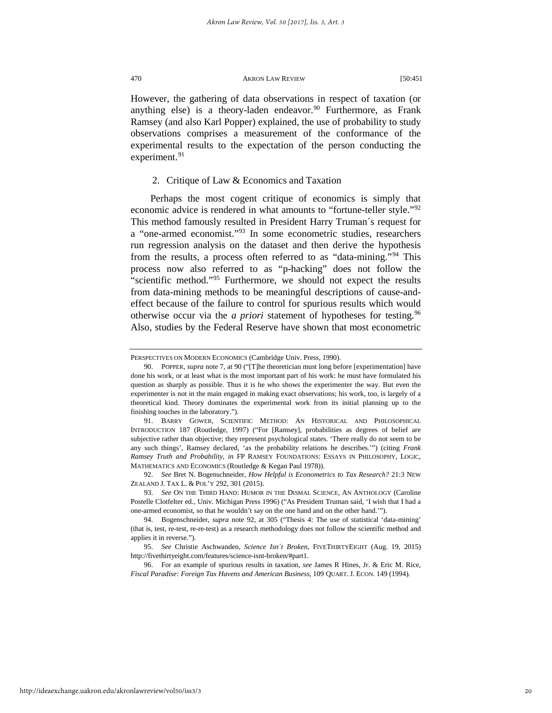However, the gathering of data observations in respect of taxation (or anything else) is a theory-laden endeavor.<sup>[90](#page-20-0)</sup> Furthermore, as Frank Ramsey (and also Karl Popper) explained, the use of probability to study observations comprises a measurement of the conformance of the experimental results to the expectation of the person conducting the experiment.<sup>[91](#page-20-1)</sup>

# 2. Critique of Law & Economics and Taxation

Perhaps the most cogent critique of economics is simply that economic advice is rendered in what amounts to "fortune-teller style."[92](#page-20-2) This method famously resulted in President Harry Truman´s request for a "one-armed economist."[93](#page-20-3) In some econometric studies, researchers run regression analysis on the dataset and then derive the hypothesis from the results, a process often referred to as "data-mining."[94](#page-20-4) This process now also referred to as "p-hacking" does not follow the "scientific method."[95](#page-20-5) Furthermore, we should not expect the results from data-mining methods to be meaningful descriptions of cause-andeffect because of the failure to control for spurious results which would otherwise occur via the *a priori* statement of hypotheses for testing.<sup>[96](#page-20-6)</sup> Also, studies by the Federal Reserve have shown that most econometric

PERSPECTIVES ON MODERN ECONOMICS (Cambridge Univ. Press, 1990).

<span id="page-20-0"></span><sup>90.</sup> POPPER, *supra* note 7, at 90 ("[T]he theoretician must long before [experimentation] have done his work, or at least what is the most important part of his work: he must have formulated his question as sharply as possible. Thus it is he who shows the experimenter the way. But even the experimenter is not in the main engaged in making exact observations; his work, too, is largely of a theoretical kind. Theory dominates the experimental work from its initial planning up to the finishing touches in the laboratory.").

<span id="page-20-1"></span><sup>91.</sup> BARRY GOWER, SCIENTIFIC METHOD: AN HISTORICAL AND PHILOSOPHICAL INTRODUCTION 187 (Routledge, 1997) ("For [Ramsey], probabilities as degrees of belief are subjective rather than objective; they represent psychological states. 'There really do not seem to be any such things', Ramsey declared, 'as the probability relations he describes.'") (citing *Frank Ramsey Truth and Probability*, *in* FP RAMSEY FOUNDATIONS: ESSAYS IN PHILOSOPHY, LOGIC, MATHEMATICS AND ECONOMICS (Routledge & Kegan Paul 1978)).

<span id="page-20-2"></span><sup>92.</sup> *See* Bret N. Bogenschneider, *How Helpful is Econometrics to Tax Research?* 21:3 NEW ZEALAND J. TAX L. & POL'Y 292, 301 (2015).

<span id="page-20-3"></span><sup>93.</sup> *See* ON THE THIRD HAND: HUMOR IN THE DISMAL SCIENCE, AN ANTHOLOGY (Caroline Postelle Clotfelter ed., Univ. Michigan Press 1996) ("As President Truman said, 'I wish that I had a one-armed economist, so that he wouldn't say on the one hand and on the other hand.'").

<span id="page-20-4"></span><sup>94.</sup> Bogenschneider, *supra* note 92, at 305 ("Thesis 4: The use of statistical 'data-mining' (that is, test, re-test, re-re-test) as a research methodology does not follow the scientific method and applies it in reverse.").

<span id="page-20-5"></span><sup>95.</sup> *See* Christie Aschwanden, *Science Isn´t Broken*, FIVETHIRTYEIGHT (Aug. 19, 2015) http://fivethirtyeight.com/features/science-isnt-broken/#part1.

<span id="page-20-6"></span><sup>96.</sup> For an example of spurious results in taxation, *see* James R Hines, Jr. & Eric M. Rice, *Fiscal Paradise: Foreign Tax Havens and American Business*, 109 QUART. J. ECON. 149 (1994)*.*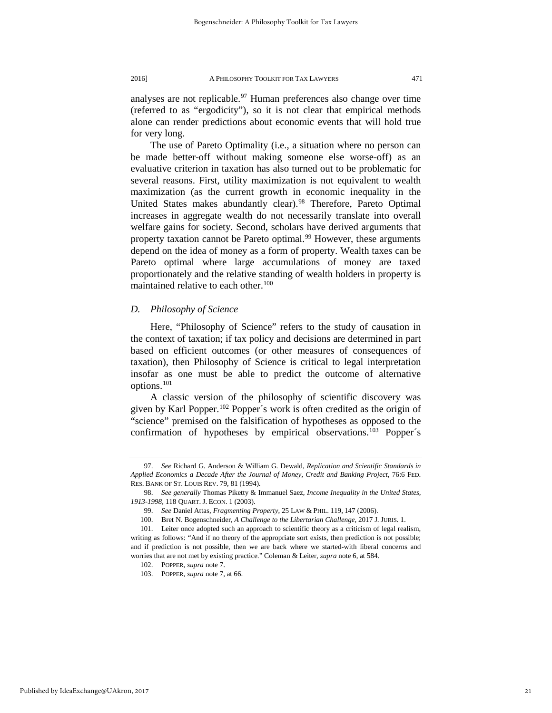analyses are not replicable.<sup>[97](#page-21-0)</sup> Human preferences also change over time (referred to as "ergodicity"), so it is not clear that empirical methods alone can render predictions about economic events that will hold true for very long.

The use of Pareto Optimality (i.e., a situation where no person can be made better-off without making someone else worse-off) as an evaluative criterion in taxation has also turned out to be problematic for several reasons. First, utility maximization is not equivalent to wealth maximization (as the current growth in economic inequality in the United States makes abundantly clear).<sup>[98](#page-21-1)</sup> Therefore, Pareto Optimal increases in aggregate wealth do not necessarily translate into overall welfare gains for society. Second, scholars have derived arguments that property taxation cannot be Pareto optimal.<sup>[99](#page-21-2)</sup> However, these arguments depend on the idea of money as a form of property. Wealth taxes can be Pareto optimal where large accumulations of money are taxed proportionately and the relative standing of wealth holders in property is maintained relative to each other.<sup>[100](#page-21-3)</sup>

# *D. Philosophy of Science*

Here, "Philosophy of Science" refers to the study of causation in the context of taxation; if tax policy and decisions are determined in part based on efficient outcomes (or other measures of consequences of taxation), then Philosophy of Science is critical to legal interpretation insofar as one must be able to predict the outcome of alternative options.[101](#page-21-4)

A classic version of the philosophy of scientific discovery was given by Karl Popper.[102](#page-21-5) Popper´s work is often credited as the origin of "science" premised on the falsification of hypotheses as opposed to the confirmation of hypotheses by empirical observations.<sup>[103](#page-21-6)</sup> Popper's

<span id="page-21-0"></span><sup>97.</sup> *See* Richard G. Anderson & William G. Dewald, *Replication and Scientific Standards in Applied Economics a Decade After the Journal of Money, Credit and Banking Project*, 76:6 FED. RES. BANK OF ST. LOUIS REV. 79, 81 (1994).

<span id="page-21-1"></span><sup>98.</sup> *See generally* Thomas Piketty & Immanuel Saez, *Income Inequality in the United States, 1913-1998*, 118 QUART. J. ECON. 1 (2003).

<sup>99.</sup> *See* Daniel Attas, *Fragmenting Property*, 25 LAW & PHIL. 119, 147 (2006).

<sup>100.</sup> Bret N. Bogenschneider, *A Challenge to the Libertarian Challenge*, 2017 J. JURIS. 1.

<span id="page-21-6"></span><span id="page-21-5"></span><span id="page-21-4"></span><span id="page-21-3"></span><span id="page-21-2"></span><sup>101.</sup> Leiter once adopted such an approach to scientific theory as a criticism of legal realism, writing as follows: "And if no theory of the appropriate sort exists, then prediction is not possible; and if prediction is not possible, then we are back where we started-with liberal concerns and worries that are not met by existing practice." Coleman & Leiter, *supra* note 6, at 584.

<sup>102.</sup> POPPER, *supra* note 7.

<sup>103.</sup> POPPER, *supra* note 7, at 66.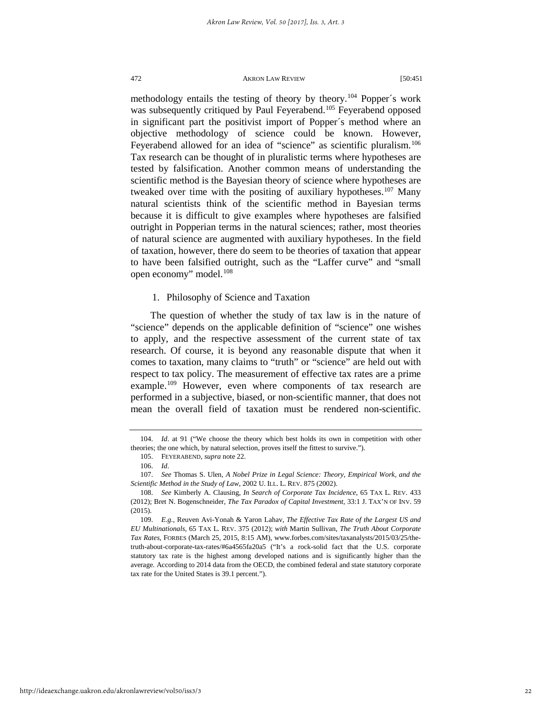methodology entails the testing of theory by theory.<sup>[104](#page-22-0)</sup> Popper's work was subsequently critiqued by Paul Feyerabend.<sup>105</sup> Feyerabend opposed in significant part the positivist import of Popper´s method where an objective methodology of science could be known. However, Feyerabend allowed for an idea of "science" as scientific pluralism.<sup>[106](#page-22-2)</sup> Tax research can be thought of in pluralistic terms where hypotheses are tested by falsification. Another common means of understanding the scientific method is the Bayesian theory of science where hypotheses are tweaked over time with the positing of auxiliary hypotheses.<sup>[107](#page-22-3)</sup> Many natural scientists think of the scientific method in Bayesian terms because it is difficult to give examples where hypotheses are falsified outright in Popperian terms in the natural sciences; rather, most theories of natural science are augmented with auxiliary hypotheses. In the field of taxation, however, there do seem to be theories of taxation that appear to have been falsified outright, such as the "Laffer curve" and "small open economy" model.[108](#page-22-4)

# 1. Philosophy of Science and Taxation

The question of whether the study of tax law is in the nature of "science" depends on the applicable definition of "science" one wishes to apply, and the respective assessment of the current state of tax research. Of course, it is beyond any reasonable dispute that when it comes to taxation, many claims to "truth" or "science" are held out with respect to tax policy. The measurement of effective tax rates are a prime example.<sup>[109](#page-22-5)</sup> However, even where components of tax research are performed in a subjective, biased, or non-scientific manner, that does not mean the overall field of taxation must be rendered non-scientific.

http://ideaexchange.uakron.edu/akronlawreview/vol50/iss3/3

<span id="page-22-1"></span><span id="page-22-0"></span><sup>104.</sup> *Id*. at 91 ("We choose the theory which best holds its own in competition with other theories; the one which, by natural selection, proves itself the fittest to survive.").

<sup>105.</sup> FEYERABEND, *supra* note 22.

<sup>106.</sup> *Id*.

<span id="page-22-3"></span><span id="page-22-2"></span><sup>107.</sup> *See* Thomas S. Ulen, *A Nobel Prize in Legal Science: Theory, Empirical Work, and the Scientific Method in the Study of Law*, 2002 U. ILL. L. REV. 875 (2002).

<span id="page-22-4"></span><sup>108.</sup> *See* Kimberly A. Clausing, *In Search of Corporate Tax Incidence*, 65 TAX L. REV. 433 (2012); Bret N. Bogenschneider, *The Tax Paradox of Capital Investment*, 33:1 J. TAX'N OF INV. 59 (2015).

<span id="page-22-5"></span><sup>109.</sup> *E.g.*, Reuven Avi-Yonah & Yaron Lahav, *The Effective Tax Rate of the Largest US and EU Multinationals*, 65 TAX L. REV. 375 (2012); *with* Martin Sullivan, *The Truth About Corporate Tax Rates*, FORBES (March 25, 2015, 8:15 AM), www.forbes.com/sites/taxanalysts/2015/03/25/thetruth-about-corporate-tax-rates/#6a4565fa20a5 ("It's a rock-solid fact that the U.S. corporate statutory tax rate is the highest among developed nations and is significantly higher than the average. According to 2014 data from the OECD, the combined federal and state statutory corporate tax rate for the United States is 39.1 percent.").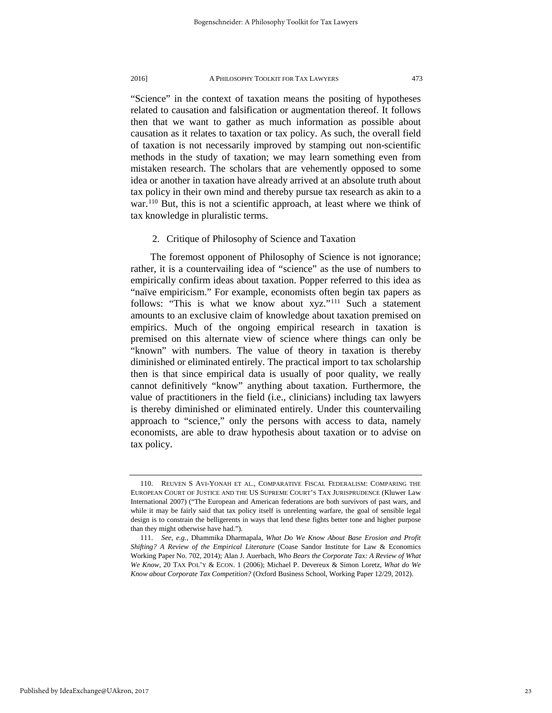"Science" in the context of taxation means the positing of hypotheses related to causation and falsification or augmentation thereof. It follows then that we want to gather as much information as possible about causation as it relates to taxation or tax policy. As such, the overall field of taxation is not necessarily improved by stamping out non-scientific methods in the study of taxation; we may learn something even from mistaken research. The scholars that are vehemently opposed to some idea or another in taxation have already arrived at an absolute truth about tax policy in their own mind and thereby pursue tax research as akin to a war.<sup>[110](#page-23-0)</sup> But, this is not a scientific approach, at least where we think of tax knowledge in pluralistic terms.

#### 2. Critique of Philosophy of Science and Taxation

The foremost opponent of Philosophy of Science is not ignorance; rather, it is a countervailing idea of "science" as the use of numbers to empirically confirm ideas about taxation. Popper referred to this idea as "naïve empiricism." For example, economists often begin tax papers as follows: "This is what we know about xyz."[111](#page-23-1) Such a statement amounts to an exclusive claim of knowledge about taxation premised on empirics. Much of the ongoing empirical research in taxation is premised on this alternate view of science where things can only be "known" with numbers. The value of theory in taxation is thereby diminished or eliminated entirely. The practical import to tax scholarship then is that since empirical data is usually of poor quality, we really cannot definitively "know" anything about taxation. Furthermore, the value of practitioners in the field (i.e., clinicians) including tax lawyers is thereby diminished or eliminated entirely. Under this countervailing approach to "science," only the persons with access to data, namely economists, are able to draw hypothesis about taxation or to advise on tax policy.

<span id="page-23-0"></span><sup>110.</sup> REUVEN S AVI-YONAH ET AL., COMPARATIVE FISCAL FEDERALISM: COMPARING THE EUROPEAN COURT OF JUSTICE AND THE US SUPREME COURT'S TAX JURISPRUDENCE (Kluwer Law International 2007) ("The European and American federations are both survivors of past wars, and while it may be fairly said that tax policy itself is unrelenting warfare, the goal of sensible legal design is to constrain the belligerents in ways that lend these fights better tone and higher purpose than they might otherwise have had.").

<span id="page-23-1"></span><sup>111.</sup> *See, e.g.*, Dhammika Dharmapala, *What Do We Know About Base Erosion and Profit Shifting? A Review of the Empirical Literature* (Coase Sandor Institute for Law & Economics Working Paper No. 702, 2014); Alan J. Auerbach, *Who Bears the Corporate Tax: A Review of What We Know*, 20 TAX POL'Y & ECON. 1 (2006); Michael P. Devereux & Simon Loretz, *What do We Know about Corporate Tax Competition?* (Oxford Business School, Working Paper 12/29, 2012).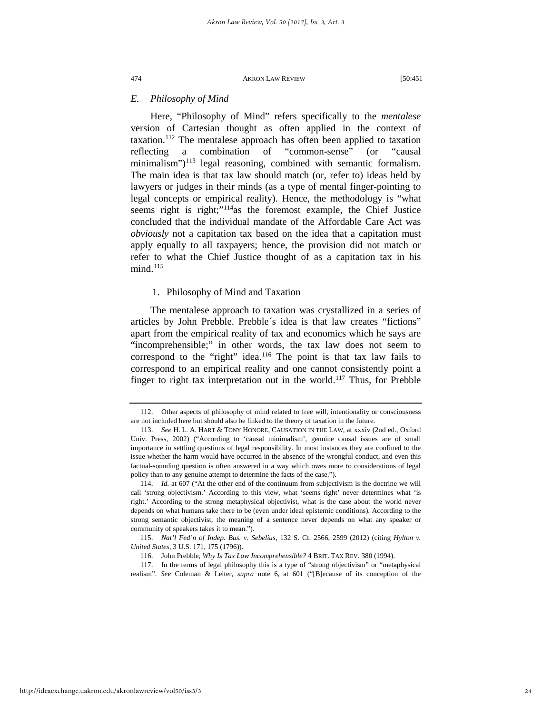# *E. Philosophy of Mind*

Here, "Philosophy of Mind" refers specifically to the *mentalese* version of Cartesian thought as often applied in the context of taxation.<sup>[112](#page-24-0)</sup> The mentalese approach has often been applied to taxation reflecting a combination of "common-sense" (or "causal minimalism") $113$  legal reasoning, combined with semantic formalism. The main idea is that tax law should match (or, refer to) ideas held by lawyers or judges in their minds (as a type of mental finger-pointing to legal concepts or empirical reality). Hence, the methodology is "what seems right is right;"<sup>114</sup>as the foremost example, the Chief Justice concluded that the individual mandate of the Affordable Care Act was *obviously* not a capitation tax based on the idea that a capitation must apply equally to all taxpayers; hence, the provision did not match or refer to what the Chief Justice thought of as a capitation tax in his  $mind.<sup>115</sup>$  $mind.<sup>115</sup>$  $mind.<sup>115</sup>$ 

# 1. Philosophy of Mind and Taxation

The mentalese approach to taxation was crystallized in a series of articles by John Prebble. Prebble´s idea is that law creates "fictions" apart from the empirical reality of tax and economics which he says are "incomprehensible;" in other words, the tax law does not seem to correspond to the "right" idea.<sup>[116](#page-24-4)</sup> The point is that tax law fails to correspond to an empirical reality and one cannot consistently point a finger to right tax interpretation out in the world.<sup>117</sup> Thus, for Prebble

<span id="page-24-0"></span><sup>112.</sup> Other aspects of philosophy of mind related to free will, intentionality or consciousness are not included here but should also be linked to the theory of taxation in the future.

<span id="page-24-1"></span><sup>113.</sup> *See* H. L. A. HART & TONY HONORE, CAUSATION IN THE LAW, at xxxiv (2nd ed., Oxford Univ. Press, 2002) ("According to 'causal minimalism', genuine causal issues are of small importance in settling questions of legal responsibility. In most instances they are confined to the issue whether the harm would have occurred in the absence of the wrongful conduct, and even this factual-sounding question is often answered in a way which owes more to considerations of legal policy than to any genuine attempt to determine the facts of the case.").

<span id="page-24-2"></span><sup>114.</sup> *Id.* at 607 ("At the other end of the continuum from subjectivism is the doctrine we will call 'strong objectivism.' According to this view, what 'seems right' never determines what 'is right.' According to the strong metaphysical objectivist, what is the case about the world never depends on what humans take there to be (even under ideal epistemic conditions). According to the strong semantic objectivist, the meaning of a sentence never depends on what any speaker or community of speakers takes it to mean.").

<span id="page-24-3"></span><sup>115.</sup> *Nat'l Fed'n of Indep. Bus. v. Sebelius*, 132 S. Ct. 2566, 2599 (2012) (citing *Hylton v. United States*, 3 U.S. 171, 175 (1796)).

<sup>116.</sup> John Prebble, *Why Is Tax Law Incomprehensible?* 4 BRIT. TAX REV. 380 (1994).

<span id="page-24-5"></span><span id="page-24-4"></span><sup>117.</sup> In the terms of legal philosophy this is a type of "strong objectivism" or "metaphysical realism". *See* Coleman & Leiter, *supra* note 6, at 601 ("[B]ecause of its conception of the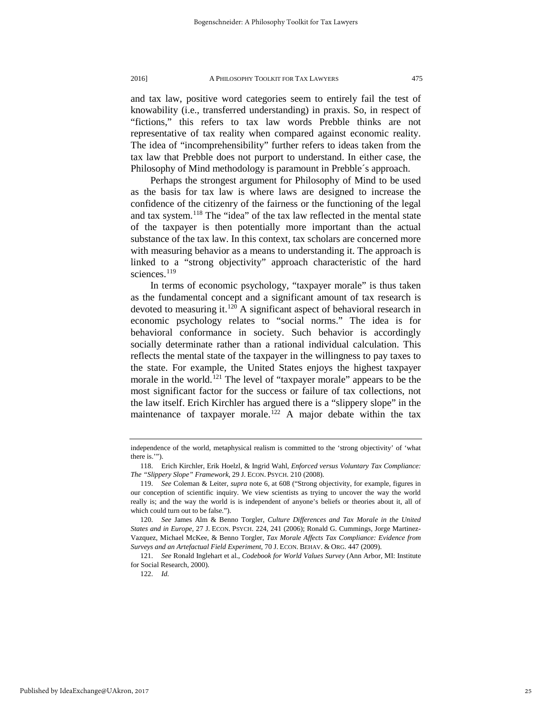and tax law, positive word categories seem to entirely fail the test of knowability (i.e., transferred understanding) in praxis. So, in respect of "fictions," this refers to tax law words Prebble thinks are not representative of tax reality when compared against economic reality. The idea of "incomprehensibility" further refers to ideas taken from the tax law that Prebble does not purport to understand. In either case, the Philosophy of Mind methodology is paramount in Prebble´s approach.

Perhaps the strongest argument for Philosophy of Mind to be used as the basis for tax law is where laws are designed to increase the confidence of the citizenry of the fairness or the functioning of the legal and tax system.<sup>[118](#page-25-0)</sup> The "idea" of the tax law reflected in the mental state of the taxpayer is then potentially more important than the actual substance of the tax law. In this context, tax scholars are concerned more with measuring behavior as a means to understanding it. The approach is linked to a "strong objectivity" approach characteristic of the hard sciences.<sup>[119](#page-25-1)</sup>

In terms of economic psychology, "taxpayer morale" is thus taken as the fundamental concept and a significant amount of tax research is devoted to measuring it.<sup>[120](#page-25-2)</sup> A significant aspect of behavioral research in economic psychology relates to "social norms." The idea is for behavioral conformance in society. Such behavior is accordingly socially determinate rather than a rational individual calculation. This reflects the mental state of the taxpayer in the willingness to pay taxes to the state. For example, the United States enjoys the highest taxpayer morale in the world.<sup>[121](#page-25-3)</sup> The level of "taxpayer morale" appears to be the most significant factor for the success or failure of tax collections, not the law itself. Erich Kirchler has argued there is a "slippery slope" in the maintenance of taxpayer morale.<sup>[122](#page-25-4)</sup> A major debate within the tax

independence of the world, metaphysical realism is committed to the 'strong objectivity' of 'what there is.'").

<span id="page-25-0"></span><sup>118.</sup> Erich Kirchler, Erik Hoelzl, & Ingrid Wahl, *Enforced versus Voluntary Tax Compliance: The "Slippery Slope" Framework*, 29 J. ECON. PSYCH. 210 (2008).

<span id="page-25-1"></span><sup>119.</sup> *See* Coleman & Leiter, *supra* note 6, at 608 ("Strong objectivity, for example, figures in our conception of scientific inquiry. We view scientists as trying to uncover the way the world really is; and the way the world is is independent of anyone's beliefs or theories about it, all of which could turn out to be false.").

<span id="page-25-2"></span><sup>120.</sup> *See* James Alm & Benno Torgler, *Culture Differences and Tax Morale in the United States and in Europe*, 27 J. ECON. PSYCH. 224, 241 (2006); Ronald G. Cummings, Jorge Martinez-Vazquez, Michael McKee, & Benno Torgler, *Tax Morale Affects Tax Compliance: Evidence from Surveys and an Artefactual Field Experiment*, 70 J. ECON. BEHAV. & ORG. 447 (2009).

<span id="page-25-4"></span><span id="page-25-3"></span><sup>121.</sup> *See* Ronald Inglehart et al., *Codebook for World Values Survey* (Ann Arbor, MI: Institute for Social Research, 2000).

<sup>122.</sup> *Id.*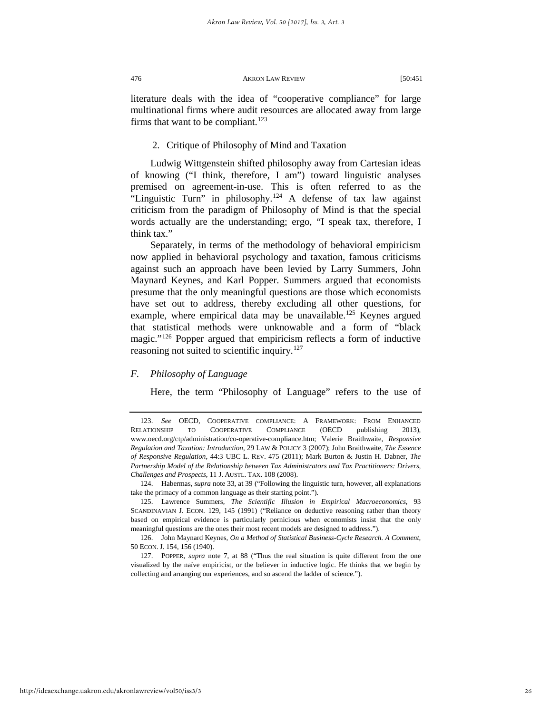literature deals with the idea of "cooperative compliance" for large multinational firms where audit resources are allocated away from large firms that want to be compliant.<sup>[123](#page-26-0)</sup>

# 2. Critique of Philosophy of Mind and Taxation

Ludwig Wittgenstein shifted philosophy away from Cartesian ideas of knowing ("I think, therefore, I am") toward linguistic analyses premised on agreement-in-use. This is often referred to as the "Linguistic Turn" in philosophy.<sup>[124](#page-26-1)</sup> A defense of tax law against criticism from the paradigm of Philosophy of Mind is that the special words actually are the understanding; ergo, "I speak tax, therefore, I think tax."

Separately, in terms of the methodology of behavioral empiricism now applied in behavioral psychology and taxation, famous criticisms against such an approach have been levied by Larry Summers, John Maynard Keynes, and Karl Popper. Summers argued that economists presume that the only meaningful questions are those which economists have set out to address, thereby excluding all other questions, for example, where empirical data may be unavailable.<sup>[125](#page-26-2)</sup> Keynes argued that statistical methods were unknowable and a form of "black magic."[126](#page-26-3) Popper argued that empiricism reflects a form of inductive reasoning not suited to scientific inquiry.<sup>[127](#page-26-4)</sup>

# *F. Philosophy of Language*

Here, the term "Philosophy of Language" refers to the use of

<span id="page-26-1"></span>124. Habermas, *supra* note 33, at 39 ("Following the linguistic turn, however, all explanations take the primacy of a common language as their starting point.").

<span id="page-26-0"></span><sup>123.</sup> *See* OECD, COOPERATIVE COMPLIANCE: A FRAMEWORK: FROM ENHANCED RELATIONSHIP TO COOPERATIVE COMPLIANCE (OECD publishing 2013), www.oecd.org/ctp/administration/co-operative-compliance.htm; Valerie Braithwaite, *Responsive Regulation and Taxation: Introduction*, 29 LAW & POLICY 3 (2007); John Braithwaite, *The Essence of Responsive Regulation*, 44:3 UBC L. REV. 475 (2011); Mark Burton & Justin H. Dabner, *The Partnership Model of the Relationship between Tax Administrators and Tax Practitioners: Drivers, Challenges and Prospects*, 11 J. AUSTL. TAX. 108 (2008).

<span id="page-26-2"></span><sup>125.</sup> Lawrence Summers, *The Scientific Illusion in Empirical Macroeconomics*, 93 SCANDINAVIAN J. ECON. 129, 145 (1991) ("Reliance on deductive reasoning rather than theory based on empirical evidence is particularly pernicious when economists insist that the only meaningful questions are the ones their most recent models are designed to address.").

<span id="page-26-3"></span><sup>126.</sup> John Maynard Keynes, *On a Method of Statistical Business-Cycle Research. A Comment*, 50 ECON. J. 154, 156 (1940).

<span id="page-26-4"></span><sup>127.</sup> POPPER, *supra* note 7, at 88 ("Thus the real situation is quite different from the one visualized by the naïve empiricist, or the believer in inductive logic. He thinks that we begin by collecting and arranging our experiences, and so ascend the ladder of science.").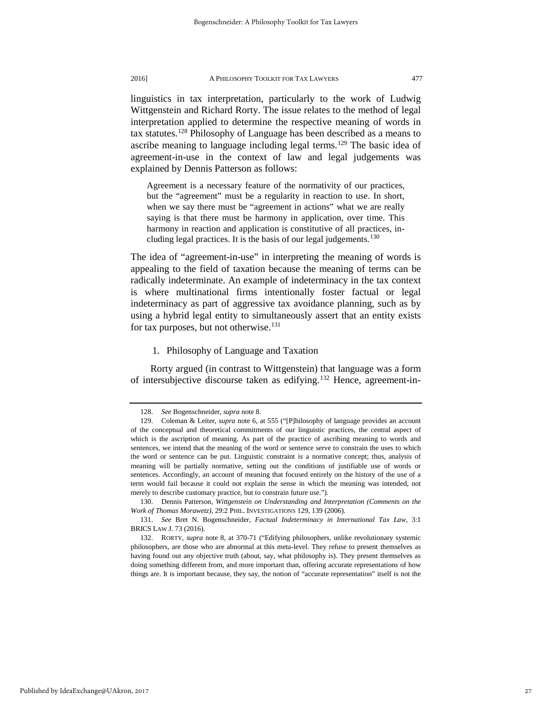linguistics in tax interpretation, particularly to the work of Ludwig Wittgenstein and Richard Rorty. The issue relates to the method of legal interpretation applied to determine the respective meaning of words in tax statutes.[128](#page-27-0) Philosophy of Language has been described as a means to ascribe meaning to language including legal terms.<sup>[129](#page-27-1)</sup> The basic idea of agreement-in-use in the context of law and legal judgements was explained by Dennis Patterson as follows:

Agreement is a necessary feature of the normativity of our practices, but the "agreement" must be a regularity in reaction to use. In short, when we say there must be "agreement in actions" what we are really saying is that there must be harmony in application, over time. This harmony in reaction and application is constitutive of all practices, in-cluding legal practices. It is the basis of our legal judgements.<sup>[130](#page-27-2)</sup>

The idea of "agreement-in-use" in interpreting the meaning of words is appealing to the field of taxation because the meaning of terms can be radically indeterminate. An example of indeterminacy in the tax context is where multinational firms intentionally foster factual or legal indeterminacy as part of aggressive tax avoidance planning, such as by using a hybrid legal entity to simultaneously assert that an entity exists for tax purposes, but not otherwise.<sup>[131](#page-27-3)</sup>

# 1. Philosophy of Language and Taxation

Rorty argued (in contrast to Wittgenstein) that language was a form of intersubjective discourse taken as edifying.<sup>[132](#page-27-4)</sup> Hence, agreement-in-

<sup>128.</sup> *See* Bogenschneider, *supra* note 8.

<span id="page-27-1"></span><span id="page-27-0"></span><sup>129.</sup> Coleman & Leiter, *supra* note 6, at 555 ("[P]hilosophy of language provides an account of the conceptual and theoretical commitments of our linguistic practices, the central aspect of which is the ascription of meaning. As part of the practice of ascribing meaning to words and sentences, we intend that the meaning of the word or sentence serve to constrain the uses to which the word or sentence can be put. Linguistic constraint is a normative concept; thus, analysis of meaning will be partially normative, setting out the conditions of justifiable use of words or sentences. Accordingly, an account of meaning that focused entirely on the history of the use of a term would fail because it could not explain the sense in which the meaning was intended, not merely to describe customary practice, but to constrain future use.").

<span id="page-27-2"></span><sup>130.</sup> Dennis Patterson, *Wittgenstein on Understanding and Interpretation (Comments on the Work of Thomas Morawetz)*, 29:2 PHIL. INVESTIGATIONS 129, 139 (2006).

<span id="page-27-3"></span><sup>131.</sup> *See* Bret N. Bogenschneider, *Factual Indeterminacy in International Tax Law*, 3:1 BRICS LAW J. 73 (2016).

<span id="page-27-4"></span><sup>132.</sup> RORTY, *supra* note 8, at 370-71 ("Edifying philosophers, unlike revolutionary systemic philosophers, are those who are abnormal at this meta-level. They refuse to present themselves as having found out any objective truth (about, say, what philosophy is). They present themselves as doing something different from, and more important than, offering accurate representations of how things are. It is important because, they say, the notion of "accurate representation" itself is not the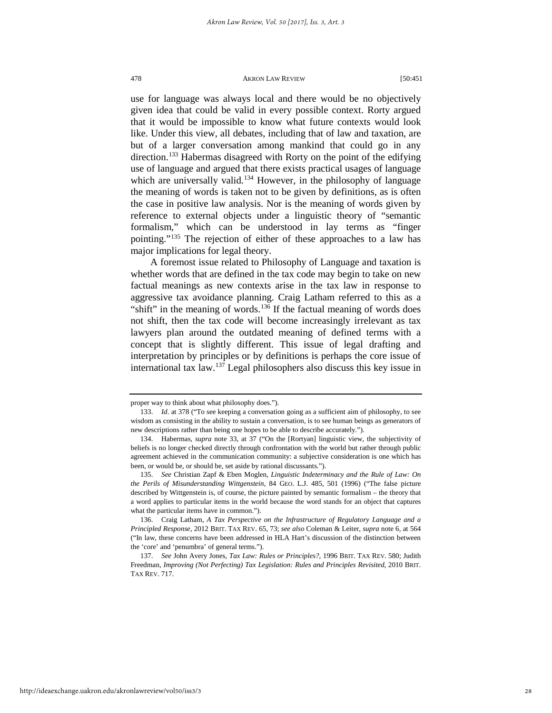use for language was always local and there would be no objectively given idea that could be valid in every possible context. Rorty argued that it would be impossible to know what future contexts would look like. Under this view, all debates, including that of law and taxation, are but of a larger conversation among mankind that could go in any direction.<sup>[133](#page-28-0)</sup> Habermas disagreed with Rorty on the point of the edifying use of language and argued that there exists practical usages of language which are universally valid.<sup>[134](#page-28-1)</sup> However, in the philosophy of language the meaning of words is taken not to be given by definitions, as is often the case in positive law analysis. Nor is the meaning of words given by reference to external objects under a linguistic theory of "semantic formalism," which can be understood in lay terms as "finger pointing."[135](#page-28-2) The rejection of either of these approaches to a law has major implications for legal theory.

A foremost issue related to Philosophy of Language and taxation is whether words that are defined in the tax code may begin to take on new factual meanings as new contexts arise in the tax law in response to aggressive tax avoidance planning. Craig Latham referred to this as a "shift" in the meaning of words.<sup>136</sup> If the factual meaning of words does not shift, then the tax code will become increasingly irrelevant as tax lawyers plan around the outdated meaning of defined terms with a concept that is slightly different. This issue of legal drafting and interpretation by principles or by definitions is perhaps the core issue of international tax  $\int 137$  $\int 137$  Legal philosophers also discuss this key issue in

<span id="page-28-0"></span>proper way to think about what philosophy does.").

<sup>133.</sup> *Id*. at 378 ("To see keeping a conversation going as a sufficient aim of philosophy, to see wisdom as consisting in the ability to sustain a conversation, is to see human beings as generators of new descriptions rather than being one hopes to be able to describe accurately.").

<span id="page-28-1"></span><sup>134.</sup> Habermas, *supra* note 33, at 37 ("On the [Rortyan] linguistic view, the subjectivity of beliefs is no longer checked directly through confrontation with the world but rather through public agreement achieved in the communication community: a subjective consideration is one which has been, or would be, or should be, set aside by rational discussants.").

<span id="page-28-2"></span><sup>135.</sup> *See* Christian Zapf & Eben Moglen, *Linguistic Indeterminacy and the Rule of Law: On the Perils of Misunderstanding Wittgenstein*, 84 GEO. L.J. 485, 501 (1996) ("The false picture described by Wittgenstein is, of course, the picture painted by semantic formalism – the theory that a word applies to particular items in the world because the word stands for an object that captures what the particular items have in common.").

<span id="page-28-3"></span><sup>136.</sup> Craig Latham, *A Tax Perspective on the Infrastructure of Regulatory Language and a Principled Response*, 2012 BRIT. TAX REV. 65, 73; *see also* Coleman & Leiter, *supra* note 6, at 564 ("In law, these concerns have been addressed in HLA Hart's discussion of the distinction between the 'core' and 'penumbra' of general terms.").

<span id="page-28-4"></span><sup>137.</sup> *See* John Avery Jones, *Tax Law: Rules or Principles?*, 1996 BRIT. TAX REV. 580; Judith Freedman, *Improving (Not Perfecting) Tax Legislation: Rules and Principles Revisited*, 2010 BRIT. TAX REV. 717.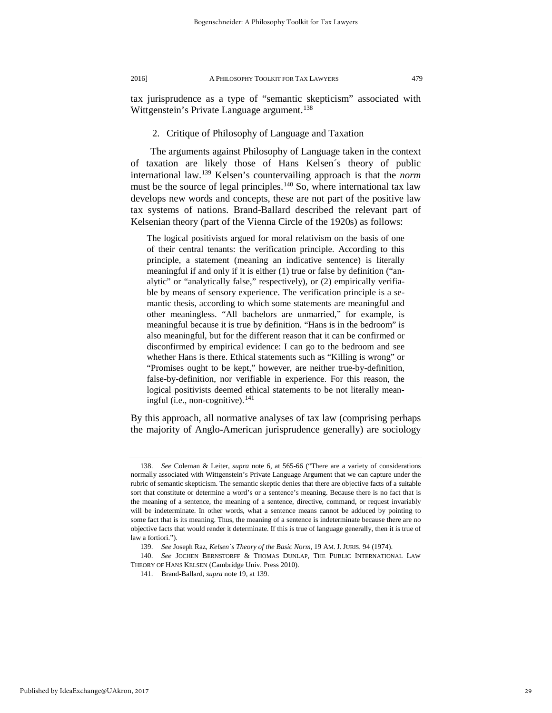tax jurisprudence as a type of "semantic skepticism" associated with Wittgenstein's Private Language argument.<sup>[138](#page-29-0)</sup>

# 2. Critique of Philosophy of Language and Taxation

The arguments against Philosophy of Language taken in the context of taxation are likely those of Hans Kelsen´s theory of public international law.[139](#page-29-1) Kelsen's countervailing approach is that the *norm* must be the source of legal principles.<sup>[140](#page-29-2)</sup> So, where international tax law develops new words and concepts, these are not part of the positive law tax systems of nations. Brand-Ballard described the relevant part of Kelsenian theory (part of the Vienna Circle of the 1920s) as follows:

The logical positivists argued for moral relativism on the basis of one of their central tenants: the verification principle. According to this principle, a statement (meaning an indicative sentence) is literally meaningful if and only if it is either (1) true or false by definition ("analytic" or "analytically false," respectively), or (2) empirically verifiable by means of sensory experience. The verification principle is a semantic thesis, according to which some statements are meaningful and other meaningless. "All bachelors are unmarried," for example, is meaningful because it is true by definition. "Hans is in the bedroom" is also meaningful, but for the different reason that it can be confirmed or disconfirmed by empirical evidence: I can go to the bedroom and see whether Hans is there. Ethical statements such as "Killing is wrong" or "Promises ought to be kept," however, are neither true-by-definition, false-by-definition, nor verifiable in experience. For this reason, the logical positivists deemed ethical statements to be not literally mean-ingful (i.e., non-cognitive).<sup>[141](#page-29-3)</sup>

By this approach, all normative analyses of tax law (comprising perhaps the majority of Anglo-American jurisprudence generally) are sociology

<span id="page-29-3"></span>Published by IdeaExchange@UAkron, 2017

<span id="page-29-0"></span><sup>138.</sup> *See* Coleman & Leiter, *supra* note 6, at 565-66 ("There are a variety of considerations normally associated with Wittgenstein's Private Language Argument that we can capture under the rubric of semantic skepticism. The semantic skeptic denies that there are objective facts of a suitable sort that constitute or determine a word's or a sentence's meaning. Because there is no fact that is the meaning of a sentence, the meaning of a sentence, directive, command, or request invariably will be indeterminate. In other words, what a sentence means cannot be adduced by pointing to some fact that is its meaning. Thus, the meaning of a sentence is indeterminate because there are no objective facts that would render it determinate. If this is true of language generally, then it is true of law a fortiori.").

<sup>139.</sup> *See* Joseph Raz, *Kelsen´s Theory of the Basic Norm*, 19 AM. J. JURIS. 94 (1974).

<span id="page-29-2"></span><span id="page-29-1"></span><sup>140.</sup> *See* JOCHEN BERNSTORFF & THOMAS DUNLAP, THE PUBLIC INTERNATIONAL LAW THEORY OF HANS KELSEN (Cambridge Univ. Press 2010).

<sup>141.</sup> Brand-Ballard, *supra* note 19, at 139.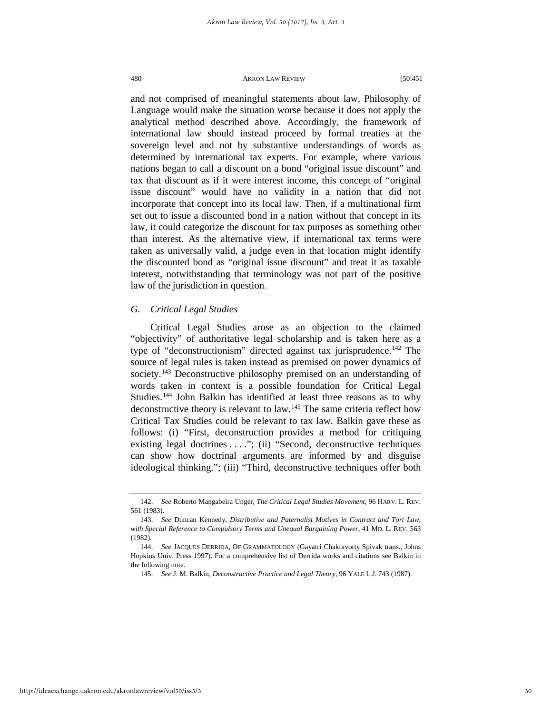and not comprised of meaningful statements about law. Philosophy of Language would make the situation worse because it does not apply the analytical method described above. Accordingly, the framework of international law should instead proceed by formal treaties at the sovereign level and not by substantive understandings of words as determined by international tax experts. For example, where various nations began to call a discount on a bond "original issue discount" and tax that discount as if it were interest income, this concept of "original issue discount" would have no validity in a nation that did not incorporate that concept into its local law. Then, if a multinational firm set out to issue a discounted bond in a nation without that concept in its law, it could categorize the discount for tax purposes as something other than interest. As the alternative view, if international tax terms were taken as universally valid, a judge even in that location might identify the discounted bond as "original issue discount" and treat it as taxable interest, notwithstanding that terminology was not part of the positive law of the jurisdiction in question.

# *G. Critical Legal Studies*

Critical Legal Studies arose as an objection to the claimed "objectivity" of authoritative legal scholarship and is taken here as a type of "deconstructionism" directed against tax jurisprudence.<sup>[142](#page-30-0)</sup> The source of legal rules is taken instead as premised on power dynamics of society.<sup>[143](#page-30-1)</sup> Deconstructive philosophy premised on an understanding of words taken in context is a possible foundation for Critical Legal Studies.<sup>[144](#page-30-2)</sup> John Balkin has identified at least three reasons as to why deconstructive theory is relevant to law.[145](#page-30-3) The same criteria reflect how Critical Tax Studies could be relevant to tax law. Balkin gave these as follows: (i) "First, deconstruction provides a method for critiquing existing legal doctrines . . . "; (ii) "Second, deconstructive techniques can show how doctrinal arguments are informed by and disguise ideological thinking."; (iii) "Third, deconstructive techniques offer both

<span id="page-30-3"></span>http://ideaexchange.uakron.edu/akronlawreview/vol50/iss3/3

<span id="page-30-0"></span><sup>142.</sup> *See* Roberto Mangabeira Unger, *The Critical Legal Studies Movement*, 96 HARV. L. REV. 561 (1983).

<span id="page-30-1"></span><sup>143.</sup> *See* Duncan Kennedy, *Distributive and Paternalist Motives in Contract and Tort Law, with Special Reference to Compulsory Terms and Unequal Bargaining Power*, 41 MD. L. REV. 563 (1982).

<span id="page-30-2"></span><sup>144.</sup> *See* JACQUES DERRIDA, OF GRAMMATOLOGY (Gayatri Chakravorty Spivak trans., Johns Hopkins Univ. Press 1997). For a comprehensive list of Derrida works and citations see Balkin in the following note.

<sup>145.</sup> *See* J. M. Balkin, *Deconstructive Practice and Legal Theory*, 96 YALE L.J. 743 (1987).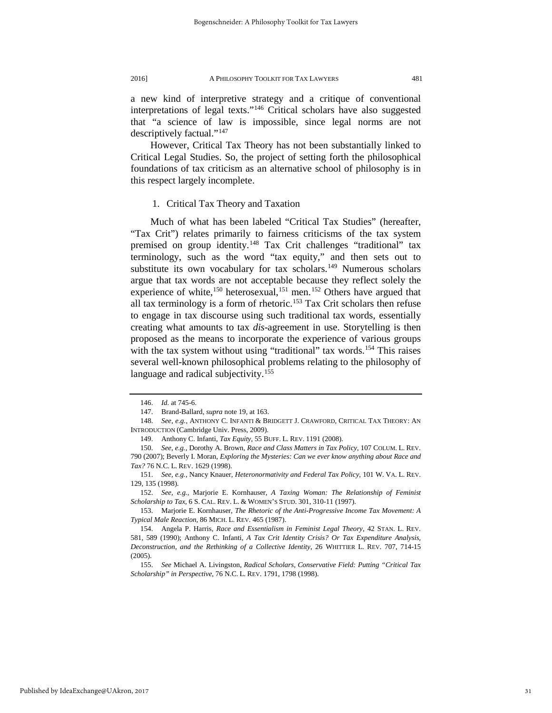a new kind of interpretive strategy and a critique of conventional interpretations of legal texts."[146](#page-31-0) Critical scholars have also suggested that "a science of law is impossible, since legal norms are not descriptively factual."[147](#page-31-1)

However, Critical Tax Theory has not been substantially linked to Critical Legal Studies. So, the project of setting forth the philosophical foundations of tax criticism as an alternative school of philosophy is in this respect largely incomplete.

# 1. Critical Tax Theory and Taxation

Much of what has been labeled "Critical Tax Studies" (hereafter, "Tax Crit") relates primarily to fairness criticisms of the tax system premised on group identity.<sup>[148](#page-31-2)</sup> Tax Crit challenges "traditional" tax terminology, such as the word "tax equity," and then sets out to substitute its own vocabulary for tax scholars.<sup>[149](#page-31-3)</sup> Numerous scholars argue that tax words are not acceptable because they reflect solely the experience of white,<sup>150</sup> heterosexual,<sup>[151](#page-31-5)</sup> men.<sup>[152](#page-31-6)</sup> Others have argued that all tax terminology is a form of rhetoric.<sup>[153](#page-31-7)</sup> Tax Crit scholars then refuse to engage in tax discourse using such traditional tax words, essentially creating what amounts to tax *dis*-agreement in use. Storytelling is then proposed as the means to incorporate the experience of various groups with the tax system without using "traditional" tax words.<sup>[154](#page-31-8)</sup> This raises several well-known philosophical problems relating to the philosophy of language and radical subjectivity.<sup>[155](#page-31-9)</sup>

<sup>146.</sup> *Id.* at 745-6.

<sup>147.</sup> Brand-Ballard, *supra* note 19, at 163.

<span id="page-31-2"></span><span id="page-31-1"></span><span id="page-31-0"></span><sup>148.</sup> *See, e.g.*, ANTHONY C. INFANTI & BRIDGETT J. CRAWFORD, CRITICAL TAX THEORY: AN INTRODUCTION (Cambridge Univ. Press, 2009).

<sup>149.</sup> Anthony C. Infanti, *Tax Equity*, 55 BUFF. L. REV. 1191 (2008).

<span id="page-31-4"></span><span id="page-31-3"></span><sup>150.</sup> *See, e.g.*, Dorothy A. Brown, *Race and Class Matters in Tax Policy*, 107 COLUM. L. REV. 790 (2007); Beverly I. Moran, *Exploring the Mysteries: Can we ever know anything about Race and Tax?* 76 N.C. L. REV. 1629 (1998).

<span id="page-31-5"></span><sup>151.</sup> *See, e.g.*, Nancy Knauer, *Heteronormativity and Federal Tax Policy*, 101 W. VA. L. REV. 129, 135 (1998).

<span id="page-31-6"></span><sup>152.</sup> *See, e.g.*, Marjorie E. Kornhauser, *A Taxing Woman: The Relationship of Feminist Scholarship to Tax*, 6 S. CAL. REV. L. & WOMEN'S STUD. 301, 310-11 (1997).

<span id="page-31-7"></span><sup>153.</sup> Marjorie E. Kornhauser, *The Rhetoric of the Anti-Progressive Income Tax Movement: A Typical Male Reaction*, 86 MICH. L. REV. 465 (1987).

<span id="page-31-8"></span><sup>154.</sup> Angela P. Harris, *Race and Essentialism in Feminist Legal Theory*, 42 STAN. L. REV. 581, 589 (1990); Anthony C. Infanti, *A Tax Crit Identity Crisis? Or Tax Expenditure Analysis, Deconstruction, and the Rethinking of a Collective Identity*, 26 WHITTIER L. REV. 707, 714-15 (2005).

<span id="page-31-9"></span><sup>155.</sup> *See* Michael A. Livingston, *Radical Scholars, Conservative Field: Putting "Critical Tax Scholarship" in Perspective*, 76 N.C. L. REV. 1791, 1798 (1998).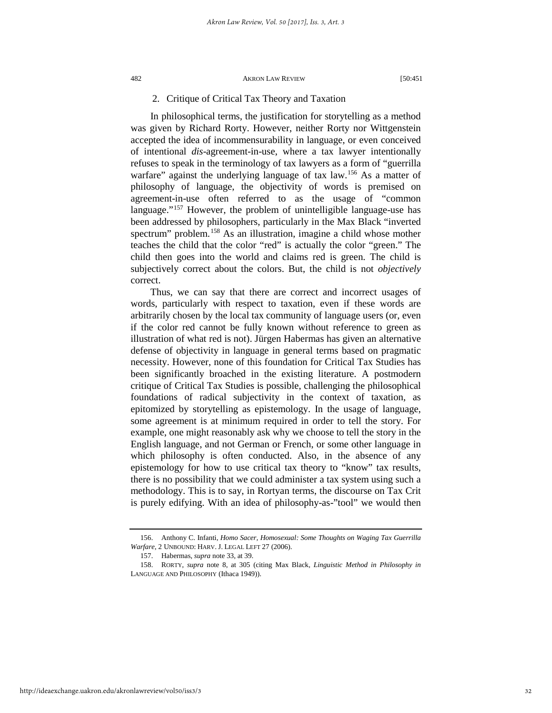# 2. Critique of Critical Tax Theory and Taxation

In philosophical terms, the justification for storytelling as a method was given by Richard Rorty. However, neither Rorty nor Wittgenstein accepted the idea of incommensurability in language, or even conceived of intentional *dis*-agreement-in-use, where a tax lawyer intentionally refuses to speak in the terminology of tax lawyers as a form of "guerrilla warfare" against the underlying language of tax law.<sup>[156](#page-32-0)</sup> As a matter of philosophy of language, the objectivity of words is premised on agreement-in-use often referred to as the usage of "common language."[157](#page-32-1) However, the problem of unintelligible language-use has been addressed by philosophers, particularly in the Max Black "inverted spectrum" problem.<sup>[158](#page-32-2)</sup> As an illustration, imagine a child whose mother teaches the child that the color "red" is actually the color "green." The child then goes into the world and claims red is green. The child is subjectively correct about the colors. But, the child is not *objectively* correct.

Thus, we can say that there are correct and incorrect usages of words, particularly with respect to taxation, even if these words are arbitrarily chosen by the local tax community of language users (or, even if the color red cannot be fully known without reference to green as illustration of what red is not). Jürgen Habermas has given an alternative defense of objectivity in language in general terms based on pragmatic necessity. However, none of this foundation for Critical Tax Studies has been significantly broached in the existing literature. A postmodern critique of Critical Tax Studies is possible, challenging the philosophical foundations of radical subjectivity in the context of taxation, as epitomized by storytelling as epistemology. In the usage of language, some agreement is at minimum required in order to tell the story. For example, one might reasonably ask why we choose to tell the story in the English language, and not German or French, or some other language in which philosophy is often conducted. Also, in the absence of any epistemology for how to use critical tax theory to "know" tax results, there is no possibility that we could administer a tax system using such a methodology. This is to say, in Rortyan terms, the discourse on Tax Crit is purely edifying. With an idea of philosophy-as-"tool" we would then

<span id="page-32-0"></span><sup>156.</sup> Anthony C. Infanti, *Homo Sacer, Homosexual: Some Thoughts on Waging Tax Guerrilla Warfare*, 2 UNBOUND: HARV. J. LEGAL LEFT 27 (2006).

<sup>157.</sup> Habermas, *supra* note 33, at 39.

<span id="page-32-2"></span><span id="page-32-1"></span><sup>158.</sup> RORTY, *supra* note 8, at 305 (citing Max Black, *Linguistic Method in Philosophy in* LANGUAGE AND PHILOSOPHY (Ithaca 1949)).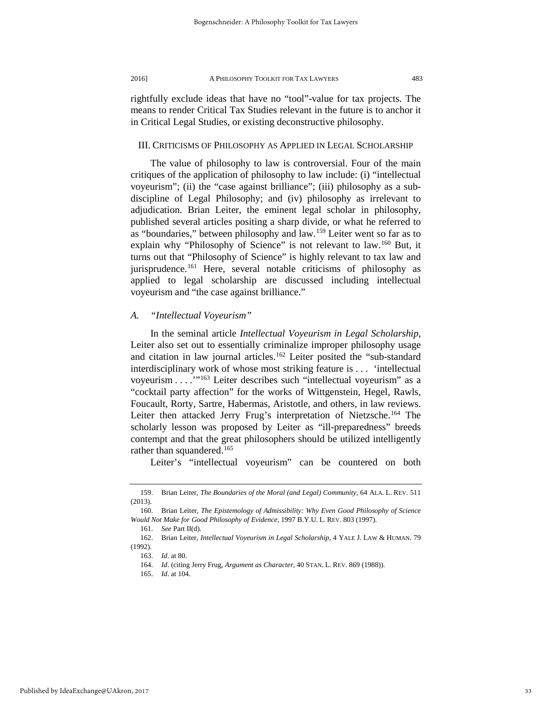rightfully exclude ideas that have no "tool"-value for tax projects. The means to render Critical Tax Studies relevant in the future is to anchor it in Critical Legal Studies, or existing deconstructive philosophy.

# III. CRITICISMS OF PHILOSOPHY AS APPLIED IN LEGAL SCHOLARSHIP

The value of philosophy to law is controversial. Four of the main critiques of the application of philosophy to law include: (i) "intellectual voyeurism"; (ii) the "case against brilliance"; (iii) philosophy as a subdiscipline of Legal Philosophy; and (iv) philosophy as irrelevant to adjudication. Brian Leiter, the eminent legal scholar in philosophy, published several articles positing a sharp divide, or what he referred to as "boundaries," between philosophy and law.[159](#page-33-0) Leiter went so far as to explain why "Philosophy of Science" is not relevant to law.<sup>[160](#page-33-1)</sup> But, it turns out that "Philosophy of Science" is highly relevant to tax law and jurisprudence.<sup>[161](#page-33-2)</sup> Here, several notable criticisms of philosophy as applied to legal scholarship are discussed including intellectual voyeurism and "the case against brilliance."

# *A. "Intellectual Voyeurism"*

In the seminal article *Intellectual Voyeurism in Legal Scholarship,* Leiter also set out to essentially criminalize improper philosophy usage and citation in law journal articles.<sup>162</sup> Leiter posited the "sub-standard interdisciplinary work of whose most striking feature is . . . 'intellectual voyeurism . . . . "<sup>163</sup> Leiter describes such "intellectual voyeurism" as a "cocktail party affection" for the works of Wittgenstein, Hegel, Rawls, Foucault, Rorty, Sartre, Habermas, Aristotle, and others, in law reviews. Leiter then attacked Jerry Frug's interpretation of Nietzsche.<sup>[164](#page-33-5)</sup> The scholarly lesson was proposed by Leiter as "ill-preparedness" breeds contempt and that the great philosophers should be utilized intelligently rather than squandered.<sup>165</sup>

Leiter's "intellectual voyeurism" can be countered on both

<span id="page-33-0"></span><sup>159.</sup> Brian Leiter, *The Boundaries of the Moral (and Legal) Community*, 64 ALA. L. REV. 511 (2013).

<span id="page-33-1"></span><sup>160.</sup> Brian Leiter, *The Epistemology of Admissibility: Why Even Good Philosophy of Science Would Not Make for Good Philosophy of Evidence*, 1997 B.Y.U. L. REV. 803 (1997).

<sup>161.</sup> *See* Part II(d).

<span id="page-33-6"></span><span id="page-33-5"></span><span id="page-33-4"></span><span id="page-33-3"></span><span id="page-33-2"></span><sup>162.</sup> Brian Leiter, *Intellectual Voyeurism in Legal Scholarship*, 4 YALE J. LAW & HUMAN. 79 (1992).

<sup>163.</sup> *Id*. at 80.

<sup>164.</sup> *Id*. (citing Jerry Frug, *Argument as Character*, 40 STAN. L. REV. 869 (1988)).

<sup>165.</sup> *Id*. at 104.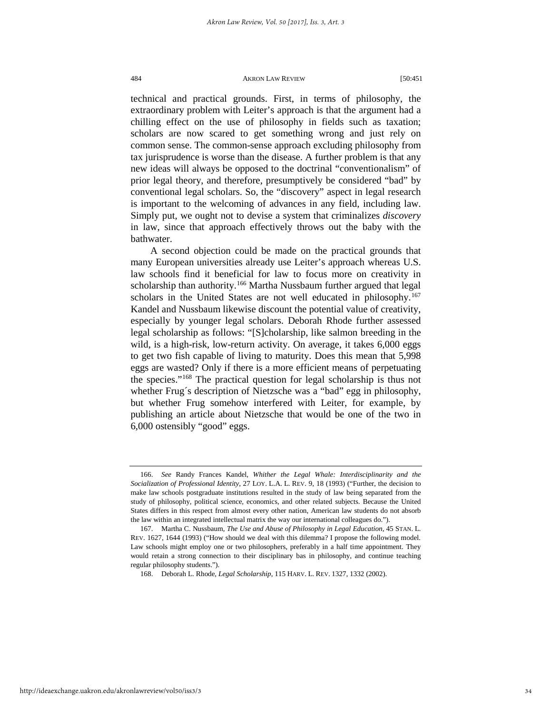technical and practical grounds. First, in terms of philosophy, the extraordinary problem with Leiter's approach is that the argument had a chilling effect on the use of philosophy in fields such as taxation; scholars are now scared to get something wrong and just rely on common sense. The common-sense approach excluding philosophy from tax jurisprudence is worse than the disease. A further problem is that any new ideas will always be opposed to the doctrinal "conventionalism" of prior legal theory, and therefore, presumptively be considered "bad" by conventional legal scholars. So, the "discovery" aspect in legal research is important to the welcoming of advances in any field, including law. Simply put, we ought not to devise a system that criminalizes *discovery* in law, since that approach effectively throws out the baby with the bathwater.

A second objection could be made on the practical grounds that many European universities already use Leiter's approach whereas U.S. law schools find it beneficial for law to focus more on creativity in scholarship than authority.<sup>[166](#page-34-0)</sup> Martha Nussbaum further argued that legal scholars in the United States are not well educated in philosophy.<sup>[167](#page-34-1)</sup> Kandel and Nussbaum likewise discount the potential value of creativity, especially by younger legal scholars. Deborah Rhode further assessed legal scholarship as follows: "[S]cholarship, like salmon breeding in the wild, is a high-risk, low-return activity. On average, it takes 6,000 eggs to get two fish capable of living to maturity. Does this mean that 5,998 eggs are wasted? Only if there is a more efficient means of perpetuating the species.["168](#page-34-2) The practical question for legal scholarship is thus not whether Frug´s description of Nietzsche was a "bad" egg in philosophy, but whether Frug somehow interfered with Leiter, for example, by publishing an article about Nietzsche that would be one of the two in 6,000 ostensibly "good" eggs.

<span id="page-34-0"></span><sup>166.</sup> *See* Randy Frances Kandel, *Whither the Legal Whale: Interdisciplinarity and the Socialization of Professional Identity*, 27 LOY. L.A. L. REV. 9, 18 (1993) ("Further, the decision to make law schools postgraduate institutions resulted in the study of law being separated from the study of philosophy, political science, economics, and other related subjects. Because the United States differs in this respect from almost every other nation, American law students do not absorb the law within an integrated intellectual matrix the way our international colleagues do.").

<span id="page-34-2"></span><span id="page-34-1"></span><sup>167.</sup> Martha C. Nussbaum, *The Use and Abuse of Philosophy in Legal Education*, 45 STAN. L. REV. 1627, 1644 (1993) ("How should we deal with this dilemma? I propose the following model. Law schools might employ one or two philosophers, preferably in a half time appointment. They would retain a strong connection to their disciplinary bas in philosophy, and continue teaching regular philosophy students.").

<sup>168.</sup> Deborah L. Rhode, *Legal Scholarship*, 115 HARV. L. REV. 1327, 1332 (2002).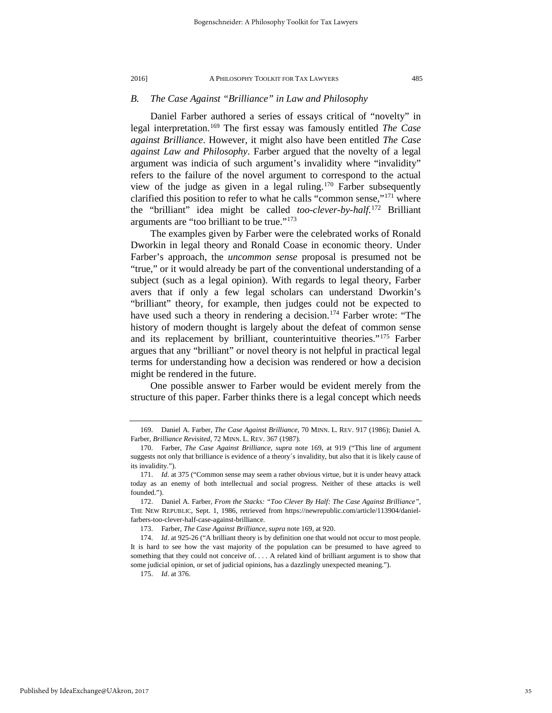# *B. The Case Against "Brilliance" in Law and Philosophy*

Daniel Farber authored a series of essays critical of "novelty" in legal interpretation.[169](#page-35-0) The first essay was famously entitled *The Case against Brilliance*. However, it might also have been entitled *The Case against Law and Philosophy*. Farber argued that the novelty of a legal argument was indicia of such argument's invalidity where "invalidity" refers to the failure of the novel argument to correspond to the actual view of the judge as given in a legal ruling.<sup>[170](#page-35-1)</sup> Farber subsequently clarified this position to refer to what he calls "common sense,"[171](#page-35-2) where the "brilliant" idea might be called *too-clever-by-half.*[172](#page-35-3) Brilliant arguments are "too brilliant to be true."[173](#page-35-4)

The examples given by Farber were the celebrated works of Ronald Dworkin in legal theory and Ronald Coase in economic theory. Under Farber's approach, the *uncommon sense* proposal is presumed not be "true," or it would already be part of the conventional understanding of a subject (such as a legal opinion). With regards to legal theory, Farber avers that if only a few legal scholars can understand Dworkin's "brilliant" theory, for example, then judges could not be expected to have used such a theory in rendering a decision.<sup>[174](#page-35-5)</sup> Farber wrote: "The history of modern thought is largely about the defeat of common sense and its replacement by brilliant, counterintuitive theories."[175](#page-35-6) Farber argues that any "brilliant" or novel theory is not helpful in practical legal terms for understanding how a decision was rendered or how a decision might be rendered in the future.

One possible answer to Farber would be evident merely from the structure of this paper. Farber thinks there is a legal concept which needs

<span id="page-35-0"></span><sup>169.</sup> Daniel A. Farber, *The Case Against Brilliance*, 70 MINN. L. REV. 917 (1986); Daniel A. Farber, *Brilliance Revisited*, 72 MINN. L. REV. 367 (1987).

<span id="page-35-1"></span><sup>170.</sup> Farber, *The Case Against Brilliance, supra* note 169, at 919 ("This line of argument suggests not only that brilliance is evidence of a theory´s invalidity, but also that it is likely cause of its invalidity.").

<span id="page-35-2"></span><sup>171.</sup> *Id*. at 375 ("Common sense may seem a rather obvious virtue, but it is under heavy attack today as an enemy of both intellectual and social progress. Neither of these attacks is well founded.").

<span id="page-35-3"></span><sup>172.</sup> Daniel A. Farber, *From the Stacks: "Too Clever By Half: The Case Against Brilliance"*, THE NEW REPUBLIC, Sept. 1, 1986, retrieved from https://newrepublic.com/article/113904/danielfarbers-too-clever-half-case-against-brilliance.

<sup>173.</sup> Farber, *The Case Against Brilliance, supra* note 169, at 920.

<span id="page-35-6"></span><span id="page-35-5"></span><span id="page-35-4"></span><sup>174.</sup> *Id*. at 925-26 ("A brilliant theory is by definition one that would not occur to most people. It is hard to see how the vast majority of the population can be presumed to have agreed to something that they could not conceive of. . . . A related kind of brilliant argument is to show that some judicial opinion, or set of judicial opinions, has a dazzlingly unexpected meaning.").

<sup>175.</sup> *Id*. at 376.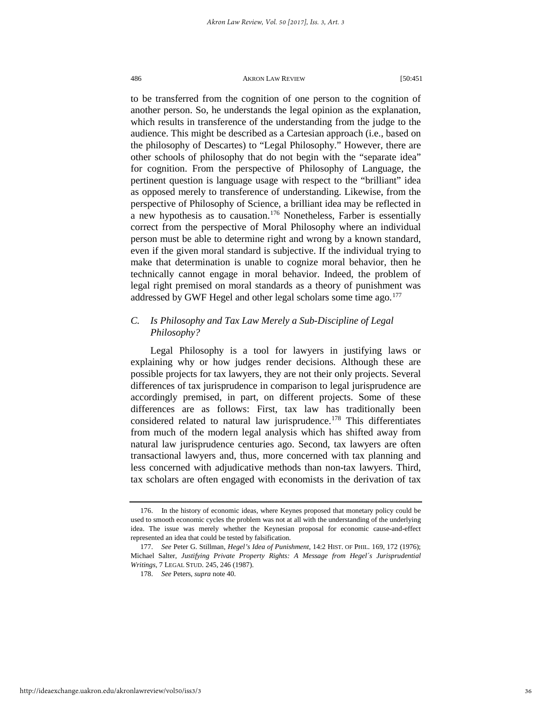to be transferred from the cognition of one person to the cognition of another person. So, he understands the legal opinion as the explanation, which results in transference of the understanding from the judge to the audience. This might be described as a Cartesian approach (i.e., based on the philosophy of Descartes) to "Legal Philosophy." However, there are other schools of philosophy that do not begin with the "separate idea" for cognition. From the perspective of Philosophy of Language, the pertinent question is language usage with respect to the "brilliant" idea as opposed merely to transference of understanding. Likewise, from the perspective of Philosophy of Science, a brilliant idea may be reflected in a new hypothesis as to causation.[176](#page-36-0) Nonetheless, Farber is essentially correct from the perspective of Moral Philosophy where an individual person must be able to determine right and wrong by a known standard, even if the given moral standard is subjective. If the individual trying to make that determination is unable to cognize moral behavior, then he technically cannot engage in moral behavior. Indeed, the problem of legal right premised on moral standards as a theory of punishment was addressed by GWF Hegel and other legal scholars some time ago.<sup>[177](#page-36-1)</sup>

# *C. Is Philosophy and Tax Law Merely a Sub-Discipline of Legal Philosophy?*

Legal Philosophy is a tool for lawyers in justifying laws or explaining why or how judges render decisions. Although these are possible projects for tax lawyers, they are not their only projects. Several differences of tax jurisprudence in comparison to legal jurisprudence are accordingly premised, in part, on different projects. Some of these differences are as follows: First, tax law has traditionally been considered related to natural law jurisprudence.<sup>[178](#page-36-2)</sup> This differentiates from much of the modern legal analysis which has shifted away from natural law jurisprudence centuries ago. Second, tax lawyers are often transactional lawyers and, thus, more concerned with tax planning and less concerned with adjudicative methods than non-tax lawyers. Third, tax scholars are often engaged with economists in the derivation of tax

<span id="page-36-0"></span><sup>176.</sup> In the history of economic ideas, where Keynes proposed that monetary policy could be used to smooth economic cycles the problem was not at all with the understanding of the underlying idea. The issue was merely whether the Keynesian proposal for economic cause-and-effect represented an idea that could be tested by falsification.

<span id="page-36-2"></span><span id="page-36-1"></span><sup>177.</sup> *See* Peter G. Stillman, *Hegel's Idea of Punishment*, 14:2 HIST. OF PHIL. 169, 172 (1976); Michael Salter, *Justifying Private Property Rights: A Message from Hegel´s Jurisprudential Writings*, 7 LEGAL STUD. 245, 246 (1987).

<sup>178.</sup> *See* Peters, *supra* note 40.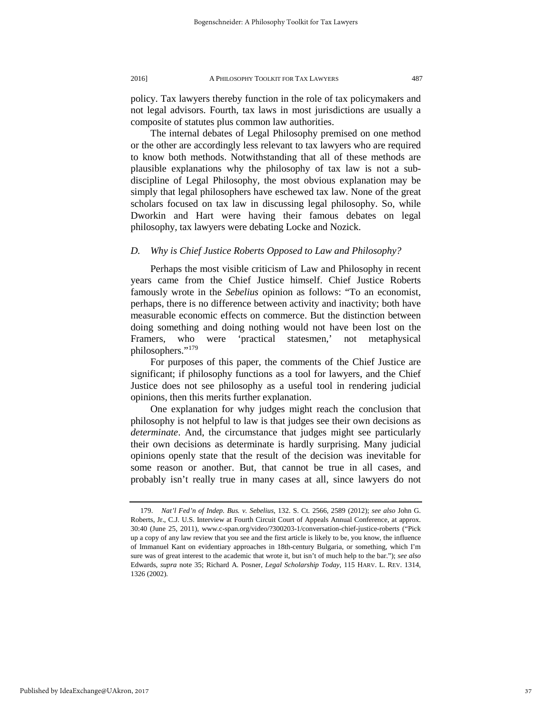policy. Tax lawyers thereby function in the role of tax policymakers and not legal advisors. Fourth, tax laws in most jurisdictions are usually a composite of statutes plus common law authorities.

The internal debates of Legal Philosophy premised on one method or the other are accordingly less relevant to tax lawyers who are required to know both methods. Notwithstanding that all of these methods are plausible explanations why the philosophy of tax law is not a subdiscipline of Legal Philosophy, the most obvious explanation may be simply that legal philosophers have eschewed tax law. None of the great scholars focused on tax law in discussing legal philosophy. So, while Dworkin and Hart were having their famous debates on legal philosophy, tax lawyers were debating Locke and Nozick.

# *D. Why is Chief Justice Roberts Opposed to Law and Philosophy?*

Perhaps the most visible criticism of Law and Philosophy in recent years came from the Chief Justice himself. Chief Justice Roberts famously wrote in the *Sebelius* opinion as follows: "To an economist, perhaps, there is no difference between activity and inactivity; both have measurable economic effects on commerce. But the distinction between doing something and doing nothing would not have been lost on the Framers, who were 'practical statesmen,' not metaphysical philosophers."[179](#page-37-0)

For purposes of this paper, the comments of the Chief Justice are significant; if philosophy functions as a tool for lawyers, and the Chief Justice does not see philosophy as a useful tool in rendering judicial opinions, then this merits further explanation.

One explanation for why judges might reach the conclusion that philosophy is not helpful to law is that judges see their own decisions as *determinate*. And, the circumstance that judges might see particularly their own decisions as determinate is hardly surprising. Many judicial opinions openly state that the result of the decision was inevitable for some reason or another. But, that cannot be true in all cases, and probably isn't really true in many cases at all, since lawyers do not

<span id="page-37-0"></span><sup>179.</sup> *Nat'l Fed'n of Indep. Bus. v. Sebelius*, 132. S. Ct. 2566, 2589 (2012); *see also* John G. Roberts, Jr., C.J. U.S. Interview at Fourth Circuit Court of Appeals Annual Conference, at approx. 30:40 (June 25, 2011), www.c-span.org/video/?300203-1/conversation-chief-justice-roberts ("Pick up a copy of any law review that you see and the first article is likely to be, you know, the influence of Immanuel Kant on evidentiary approaches in 18th-century Bulgaria, or something, which I'm sure was of great interest to the academic that wrote it, but isn't of much help to the bar."); *see also* Edwards, *supra* note 35; Richard A. Posner, *Legal Scholarship Today*, 115 HARV. L. REV. 1314, 1326 (2002).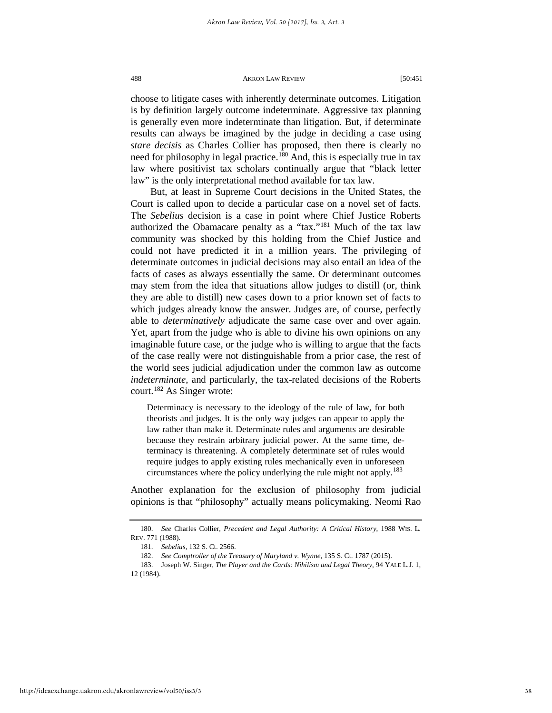choose to litigate cases with inherently determinate outcomes. Litigation is by definition largely outcome indeterminate. Aggressive tax planning is generally even more indeterminate than litigation. But, if determinate results can always be imagined by the judge in deciding a case using *stare decisis* as Charles Collier has proposed, then there is clearly no need for philosophy in legal practice.<sup>[180](#page-38-0)</sup> And, this is especially true in tax law where positivist tax scholars continually argue that "black letter law" is the only interpretational method available for tax law.

But, at least in Supreme Court decisions in the United States, the Court is called upon to decide a particular case on a novel set of facts. The *Sebelius* decision is a case in point where Chief Justice Roberts authorized the Obamacare penalty as a "tax."[181](#page-38-1) Much of the tax law community was shocked by this holding from the Chief Justice and could not have predicted it in a million years. The privileging of determinate outcomes in judicial decisions may also entail an idea of the facts of cases as always essentially the same. Or determinant outcomes may stem from the idea that situations allow judges to distill (or, think they are able to distill) new cases down to a prior known set of facts to which judges already know the answer. Judges are, of course, perfectly able to *determinatively* adjudicate the same case over and over again. Yet, apart from the judge who is able to divine his own opinions on any imaginable future case, or the judge who is willing to argue that the facts of the case really were not distinguishable from a prior case, the rest of the world sees judicial adjudication under the common law as outcome *indeterminate*, and particularly, the tax-related decisions of the Roberts court.<sup>[182](#page-38-2)</sup> As Singer wrote:

Determinacy is necessary to the ideology of the rule of law, for both theorists and judges. It is the only way judges can appear to apply the law rather than make it. Determinate rules and arguments are desirable because they restrain arbitrary judicial power. At the same time, determinacy is threatening. A completely determinate set of rules would require judges to apply existing rules mechanically even in unforeseen circumstances where the policy underlying the rule might not apply.<sup>[183](#page-38-3)</sup>

Another explanation for the exclusion of philosophy from judicial opinions is that "philosophy" actually means policymaking. Neomi Rao

<span id="page-38-1"></span><span id="page-38-0"></span><sup>180.</sup> *See* Charles Collier, *Precedent and Legal Authority: A Critical History*, 1988 WIS. L. REV. 771 (1988).

<sup>181.</sup> *Sebelius*, 132 S. Ct. 2566.

<sup>182.</sup> *See Comptroller of the Treasury of Maryland v. Wynne*, 135 S. Ct. 1787 (2015).

<span id="page-38-3"></span><span id="page-38-2"></span><sup>183.</sup> Joseph W. Singer, *The Player and the Cards: Nihilism and Legal Theory*, 94 YALE L.J. 1, 12 (1984).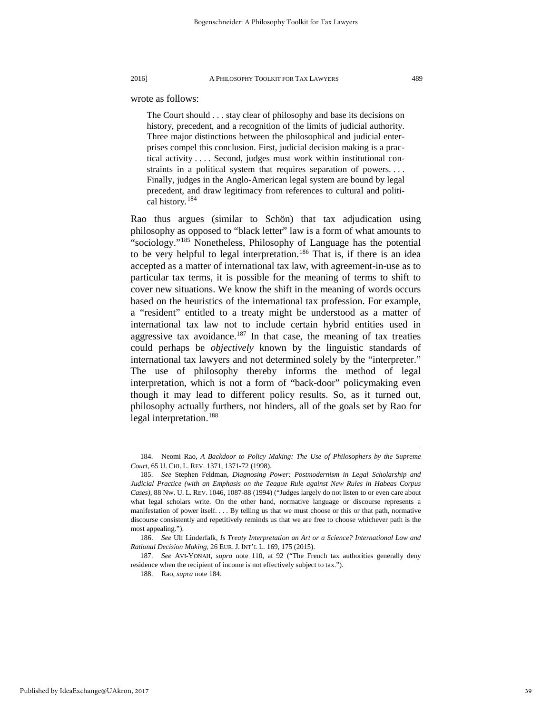wrote as follows:

The Court should . . . stay clear of philosophy and base its decisions on history, precedent, and a recognition of the limits of judicial authority. Three major distinctions between the philosophical and judicial enterprises compel this conclusion. First, judicial decision making is a practical activity . . . . Second, judges must work within institutional constraints in a political system that requires separation of powers. . . . Finally, judges in the Anglo-American legal system are bound by legal precedent, and draw legitimacy from references to cultural and political history.[184](#page-39-0)

Rao thus argues (similar to Schön) that tax adjudication using philosophy as opposed to "black letter" law is a form of what amounts to "sociology."[185](#page-39-1) Nonetheless, Philosophy of Language has the potential to be very helpful to legal interpretation.<sup>[186](#page-39-2)</sup> That is, if there is an idea accepted as a matter of international tax law, with agreement-in-use as to particular tax terms, it is possible for the meaning of terms to shift to cover new situations. We know the shift in the meaning of words occurs based on the heuristics of the international tax profession. For example, a "resident" entitled to a treaty might be understood as a matter of international tax law not to include certain hybrid entities used in aggressive tax avoidance.<sup>[187](#page-39-3)</sup> In that case, the meaning of tax treaties could perhaps be *objectively* known by the linguistic standards of international tax lawyers and not determined solely by the "interpreter." The use of philosophy thereby informs the method of legal interpretation, which is not a form of "back-door" policymaking even though it may lead to different policy results. So, as it turned out, philosophy actually furthers, not hinders, all of the goals set by Rao for legal interpretation.<sup>[188](#page-39-4)</sup>

<span id="page-39-0"></span><sup>184.</sup> Neomi Rao, *A Backdoor to Policy Making: The Use of Philosophers by the Supreme Court*, 65 U. CHI. L. REV. 1371, 1371-72 (1998).

<span id="page-39-1"></span><sup>185.</sup> *See* Stephen Feldman, *Diagnosing Power: Postmodernism in Legal Scholarship and Judicial Practice (with an Emphasis on the Teague Rule against New Rules in Habeas Corpus Cases)*, 88 NW. U. L. REV. 1046, 1087-88 (1994) ("Judges largely do not listen to or even care about what legal scholars write. On the other hand, normative language or discourse represents a manifestation of power itself. . . . By telling us that we must choose or this or that path, normative discourse consistently and repetitively reminds us that we are free to choose whichever path is the most appealing.").

<span id="page-39-2"></span><sup>186.</sup> *See* Ulf Linderfalk, *Is Treaty Interpretation an Art or a Science? International Law and Rational Decision Making*, 26 EUR. J. INT'L L. 169, 175 (2015).

<span id="page-39-4"></span><span id="page-39-3"></span><sup>187.</sup> *See* AVI-YONAH, *supra* note 110, at 92 ("The French tax authorities generally deny residence when the recipient of income is not effectively subject to tax.").

<sup>188.</sup> Rao, *supra* note 184.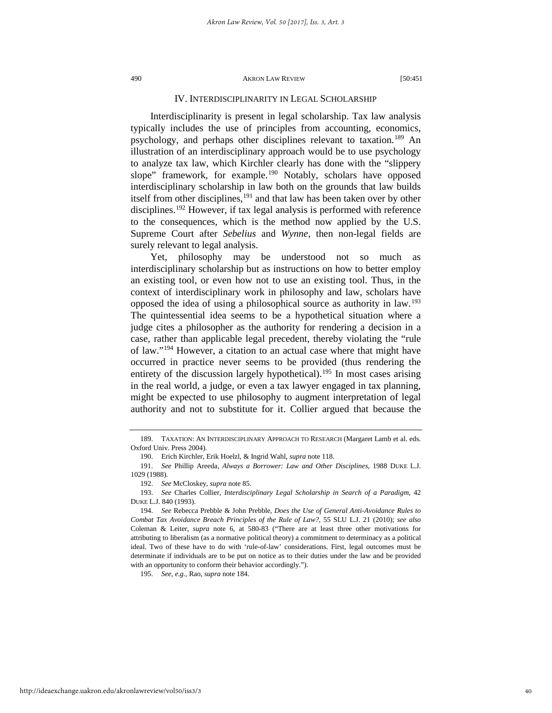# IV. INTERDISCIPLINARITY IN LEGAL SCHOLARSHIP

Interdisciplinarity is present in legal scholarship. Tax law analysis typically includes the use of principles from accounting, economics, psychology, and perhaps other disciplines relevant to taxation.<sup>[189](#page-40-0)</sup> An illustration of an interdisciplinary approach would be to use psychology to analyze tax law, which Kirchler clearly has done with the "slippery slope" framework, for example.<sup>[190](#page-40-1)</sup> Notably, scholars have opposed interdisciplinary scholarship in law both on the grounds that law builds itself from other disciplines,<sup>[191](#page-40-2)</sup> and that law has been taken over by other disciplines.<sup>[192](#page-40-3)</sup> However, if tax legal analysis is performed with reference to the consequences, which is the method now applied by the U.S. Supreme Court after *Sebelius* and *Wynne*, then non-legal fields are surely relevant to legal analysis.

Yet, philosophy may be understood not so much as interdisciplinary scholarship but as instructions on how to better employ an existing tool, or even how not to use an existing tool. Thus, in the context of interdisciplinary work in philosophy and law, scholars have opposed the idea of using a philosophical source as authority in law[.193](#page-40-4) The quintessential idea seems to be a hypothetical situation where a judge cites a philosopher as the authority for rendering a decision in a case, rather than applicable legal precedent, thereby violating the "rule of law."[194](#page-40-5) However, a citation to an actual case where that might have occurred in practice never seems to be provided (thus rendering the entirety of the discussion largely hypothetical).<sup>[195](#page-40-6)</sup> In most cases arising in the real world, a judge, or even a tax lawyer engaged in tax planning, might be expected to use philosophy to augment interpretation of legal authority and not to substitute for it. Collier argued that because the

<span id="page-40-6"></span>195. *See, e.g.*, Rao, *supra* note 184.

<span id="page-40-1"></span><span id="page-40-0"></span><sup>189.</sup> TAXATION: AN INTERDISCIPLINARY APPROACH TO RESEARCH (Margaret Lamb et al. eds. Oxford Univ. Press 2004).

<sup>190.</sup> Erich Kirchler, Erik Hoelzl, & Ingrid Wahl, *supra* note 118.

<span id="page-40-2"></span><sup>191.</sup> *See* Phillip Areeda, *Always a Borrower: Law and Other Disciplines*, 1988 DUKE L.J. 1029 (1988).

<sup>192.</sup> *See* McCloskey, *supra* note 85.

<span id="page-40-4"></span><span id="page-40-3"></span><sup>193.</sup> *See* Charles Collier, *Interdisciplinary Legal Scholarship in Search of a Paradigm*, 42 DUKE L.J. 840 (1993).

<span id="page-40-5"></span><sup>194.</sup> *See* Rebecca Prebble & John Prebble, *Does the Use of General Anti-Avoidance Rules to Combat Tax Avoidance Breach Principles of the Rule of Law?*, 55 SLU L.J. 21 (2010); *see also* Coleman & Leiter, *supra* note 6, at 580-83 ("There are at least three other motivations for attributing to liberalism (as a normative political theory) a commitment to determinacy as a political ideal. Two of these have to do with 'rule-of-law' considerations. First, legal outcomes must be determinate if individuals are to be put on notice as to their duties under the law and be provided with an opportunity to conform their behavior accordingly.").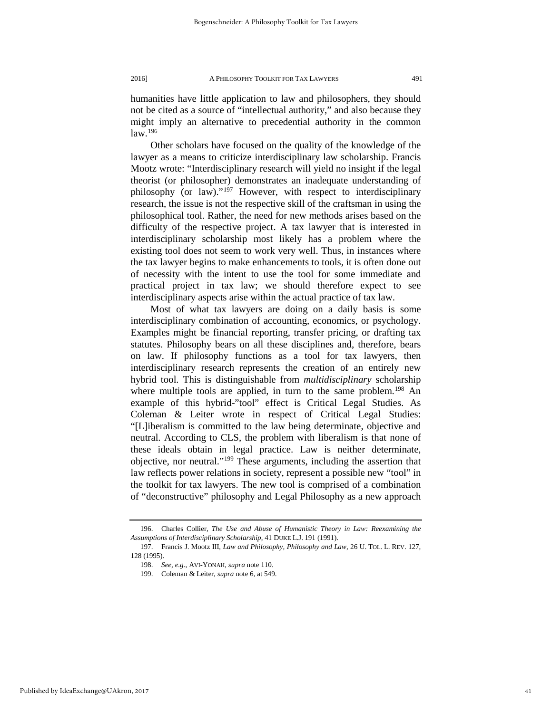humanities have little application to law and philosophers, they should not be cited as a source of "intellectual authority," and also because they might imply an alternative to precedential authority in the common law.[196](#page-41-0)

Other scholars have focused on the quality of the knowledge of the lawyer as a means to criticize interdisciplinary law scholarship. Francis Mootz wrote: "Interdisciplinary research will yield no insight if the legal theorist (or philosopher) demonstrates an inadequate understanding of philosophy (or law)."<sup>[197](#page-41-1)</sup> However, with respect to interdisciplinary research, the issue is not the respective skill of the craftsman in using the philosophical tool. Rather, the need for new methods arises based on the difficulty of the respective project. A tax lawyer that is interested in interdisciplinary scholarship most likely has a problem where the existing tool does not seem to work very well. Thus, in instances where the tax lawyer begins to make enhancements to tools, it is often done out of necessity with the intent to use the tool for some immediate and practical project in tax law; we should therefore expect to see interdisciplinary aspects arise within the actual practice of tax law.

Most of what tax lawyers are doing on a daily basis is some interdisciplinary combination of accounting, economics, or psychology. Examples might be financial reporting, transfer pricing, or drafting tax statutes. Philosophy bears on all these disciplines and, therefore, bears on law. If philosophy functions as a tool for tax lawyers, then interdisciplinary research represents the creation of an entirely new hybrid tool. This is distinguishable from *multidisciplinary* scholarship where multiple tools are applied, in turn to the same problem.<sup>[198](#page-41-2)</sup> An example of this hybrid-"tool" effect is Critical Legal Studies. As Coleman & Leiter wrote in respect of Critical Legal Studies: "[L]iberalism is committed to the law being determinate, objective and neutral. According to CLS, the problem with liberalism is that none of these ideals obtain in legal practice. Law is neither determinate, objective, nor neutral."[199](#page-41-3) These arguments, including the assertion that law reflects power relations in society, represent a possible new "tool" in the toolkit for tax lawyers. The new tool is comprised of a combination of "deconstructive" philosophy and Legal Philosophy as a new approach

<span id="page-41-0"></span><sup>196.</sup> Charles Collier, *The Use and Abuse of Humanistic Theory in Law: Reexamining the Assumptions of Interdisciplinary Scholarship*, 41 DUKE L.J. 191 (1991).

<span id="page-41-3"></span><span id="page-41-2"></span><span id="page-41-1"></span><sup>197.</sup> Francis J. Mootz III, *Law and Philosophy, Philosophy and Law*, 26 U. TOL. L. REV. 127, 128 (1995).

<sup>198.</sup> *See, e.g.*, AVI-YONAH, *supra* note 110.

<sup>199.</sup> Coleman & Leiter, *supra* note 6, at 549.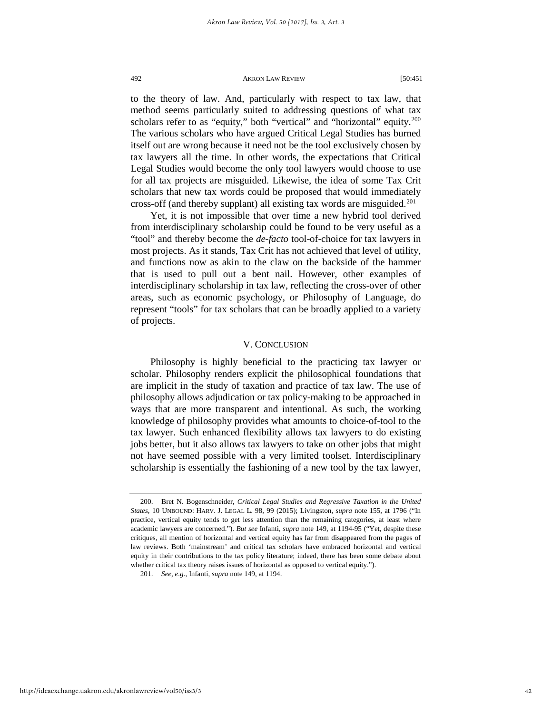to the theory of law. And, particularly with respect to tax law, that method seems particularly suited to addressing questions of what tax scholars refer to as "equity," both "vertical" and "horizontal" equity.<sup>200</sup> The various scholars who have argued Critical Legal Studies has burned itself out are wrong because it need not be the tool exclusively chosen by tax lawyers all the time. In other words, the expectations that Critical Legal Studies would become the only tool lawyers would choose to use for all tax projects are misguided. Likewise, the idea of some Tax Crit scholars that new tax words could be proposed that would immediately cross-off (and thereby supplant) all existing tax words are misguided.<sup>[201](#page-42-1)</sup>

Yet, it is not impossible that over time a new hybrid tool derived from interdisciplinary scholarship could be found to be very useful as a "tool" and thereby become the *de-facto* tool-of-choice for tax lawyers in most projects. As it stands, Tax Crit has not achieved that level of utility, and functions now as akin to the claw on the backside of the hammer that is used to pull out a bent nail. However, other examples of interdisciplinary scholarship in tax law, reflecting the cross-over of other areas, such as economic psychology, or Philosophy of Language, do represent "tools" for tax scholars that can be broadly applied to a variety of projects.

# V. CONCLUSION

Philosophy is highly beneficial to the practicing tax lawyer or scholar. Philosophy renders explicit the philosophical foundations that are implicit in the study of taxation and practice of tax law. The use of philosophy allows adjudication or tax policy-making to be approached in ways that are more transparent and intentional. As such, the working knowledge of philosophy provides what amounts to choice-of-tool to the tax lawyer. Such enhanced flexibility allows tax lawyers to do existing jobs better, but it also allows tax lawyers to take on other jobs that might not have seemed possible with a very limited toolset. Interdisciplinary scholarship is essentially the fashioning of a new tool by the tax lawyer,

<span id="page-42-0"></span><sup>200.</sup> Bret N. Bogenschneider, *Critical Legal Studies and Regressive Taxation in the United States*, 10 UNBOUND: HARV. J. LEGAL L. 98, 99 (2015); Livingston, *supra* note 155, at 1796 ("In practice, vertical equity tends to get less attention than the remaining categories, at least where academic lawyers are concerned."). *But see* Infanti, *supra* note 149, at 1194-95 ("Yet, despite these critiques, all mention of horizontal and vertical equity has far from disappeared from the pages of law reviews. Both 'mainstream' and critical tax scholars have embraced horizontal and vertical equity in their contributions to the tax policy literature; indeed, there has been some debate about whether critical tax theory raises issues of horizontal as opposed to vertical equity.").

<span id="page-42-1"></span><sup>201.</sup> *See, e.g.*, Infanti, *supra* note 149, at 1194.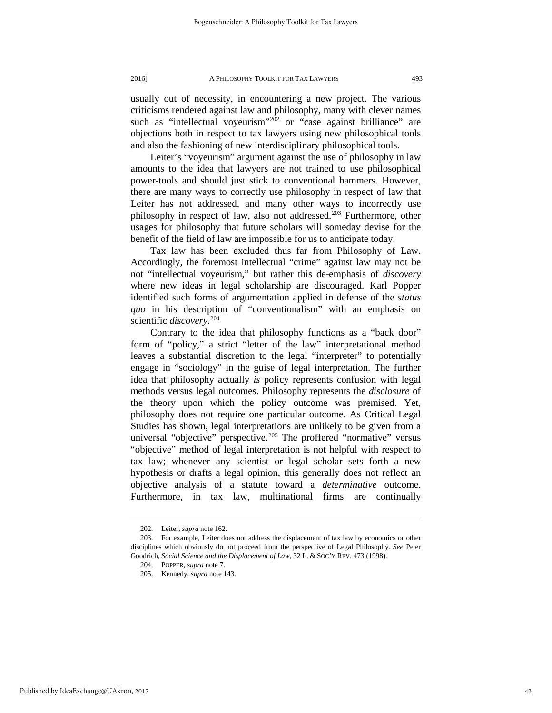usually out of necessity, in encountering a new project. The various criticisms rendered against law and philosophy, many with clever names such as "intellectual voyeurism"<sup>[202](#page-43-0)</sup> or "case against brilliance" are objections both in respect to tax lawyers using new philosophical tools and also the fashioning of new interdisciplinary philosophical tools.

Leiter's "voyeurism" argument against the use of philosophy in law amounts to the idea that lawyers are not trained to use philosophical power-tools and should just stick to conventional hammers. However, there are many ways to correctly use philosophy in respect of law that Leiter has not addressed, and many other ways to incorrectly use philosophy in respect of law, also not addressed.<sup>[203](#page-43-1)</sup> Furthermore, other usages for philosophy that future scholars will someday devise for the benefit of the field of law are impossible for us to anticipate today.

Tax law has been excluded thus far from Philosophy of Law. Accordingly, the foremost intellectual "crime" against law may not be not "intellectual voyeurism," but rather this de-emphasis of *discovery* where new ideas in legal scholarship are discouraged. Karl Popper identified such forms of argumentation applied in defense of the *status quo* in his description of "conventionalism" with an emphasis on scientific *discovery*. [204](#page-43-2)

Contrary to the idea that philosophy functions as a "back door" form of "policy," a strict "letter of the law" interpretational method leaves a substantial discretion to the legal "interpreter" to potentially engage in "sociology" in the guise of legal interpretation. The further idea that philosophy actually *is* policy represents confusion with legal methods versus legal outcomes. Philosophy represents the *disclosure* of the theory upon which the policy outcome was premised. Yet, philosophy does not require one particular outcome. As Critical Legal Studies has shown, legal interpretations are unlikely to be given from a universal "objective" perspective.<sup>[205](#page-43-3)</sup> The proffered "normative" versus "objective" method of legal interpretation is not helpful with respect to tax law; whenever any scientist or legal scholar sets forth a new hypothesis or drafts a legal opinion, this generally does not reflect an objective analysis of a statute toward a *determinative* outcome. Furthermore, in tax law, multinational firms are continually

<sup>202.</sup> Leiter, *supra* note 162.

<span id="page-43-3"></span><span id="page-43-2"></span><span id="page-43-1"></span><span id="page-43-0"></span><sup>203.</sup> For example, Leiter does not address the displacement of tax law by economics or other disciplines which obviously do not proceed from the perspective of Legal Philosophy. *See* Peter Goodrich, *Social Science and the Displacement of Law*, 32 L. & SOC'Y REV. 473 (1998).

<sup>204.</sup> POPPER, *supra* note 7.

<sup>205.</sup> Kennedy, *supra* note 143.